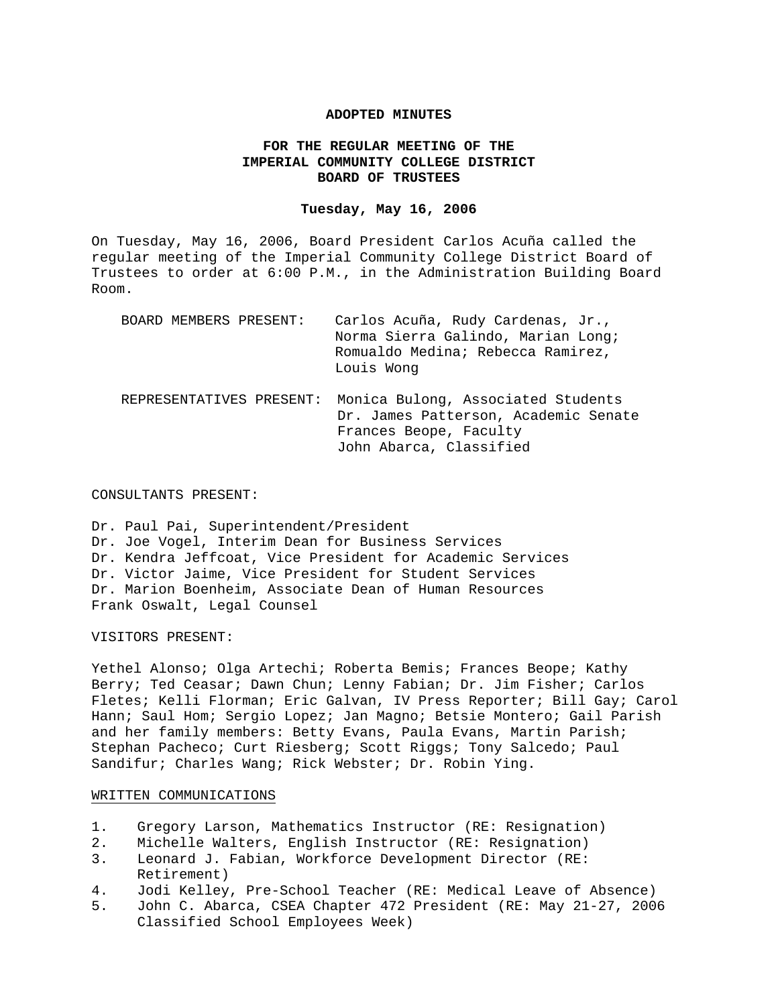### **ADOPTED MINUTES**

### **FOR THE REGULAR MEETING OF THE IMPERIAL COMMUNITY COLLEGE DISTRICT BOARD OF TRUSTEES**

### **Tuesday, May 16, 2006**

On Tuesday, May 16, 2006, Board President Carlos Acuña called the regular meeting of the Imperial Community College District Board of Trustees to order at 6:00 P.M., in the Administration Building Board Room.

| BOARD MEMBERS PRESENT:   | Carlos Acuña, Rudy Cardenas, Jr.,<br>Norma Sierra Galindo, Marian Long;<br>Romualdo Medina; Rebecca Ramirez,<br>Louis Wong      |
|--------------------------|---------------------------------------------------------------------------------------------------------------------------------|
| REPRESENTATIVES PRESENT: | Monica Bulong, Associated Students<br>Dr. James Patterson, Academic Senate<br>Frances Beope, Faculty<br>John Abarca, Classified |

### CONSULTANTS PRESENT:

Dr. Paul Pai, Superintendent/President Dr. Joe Vogel, Interim Dean for Business Services Dr. Kendra Jeffcoat, Vice President for Academic Services Dr. Victor Jaime, Vice President for Student Services Dr. Marion Boenheim, Associate Dean of Human Resources Frank Oswalt, Legal Counsel

### VISITORS PRESENT:

Yethel Alonso; Olga Artechi; Roberta Bemis; Frances Beope; Kathy Berry; Ted Ceasar; Dawn Chun; Lenny Fabian; Dr. Jim Fisher; Carlos Fletes; Kelli Florman; Eric Galvan, IV Press Reporter; Bill Gay; Carol Hann; Saul Hom; Sergio Lopez; Jan Magno; Betsie Montero; Gail Parish and her family members: Betty Evans, Paula Evans, Martin Parish; Stephan Pacheco; Curt Riesberg; Scott Riggs; Tony Salcedo; Paul Sandifur; Charles Wang; Rick Webster; Dr. Robin Ying.

### WRITTEN COMMUNICATIONS

- 1. Gregory Larson, Mathematics Instructor (RE: Resignation)
- 2. Michelle Walters, English Instructor (RE: Resignation)
- 3. Leonard J. Fabian, Workforce Development Director (RE: Retirement)
- 4. Jodi Kelley, Pre-School Teacher (RE: Medical Leave of Absence)
- 5. John C. Abarca, CSEA Chapter 472 President (RE: May 21-27, 2006 Classified School Employees Week)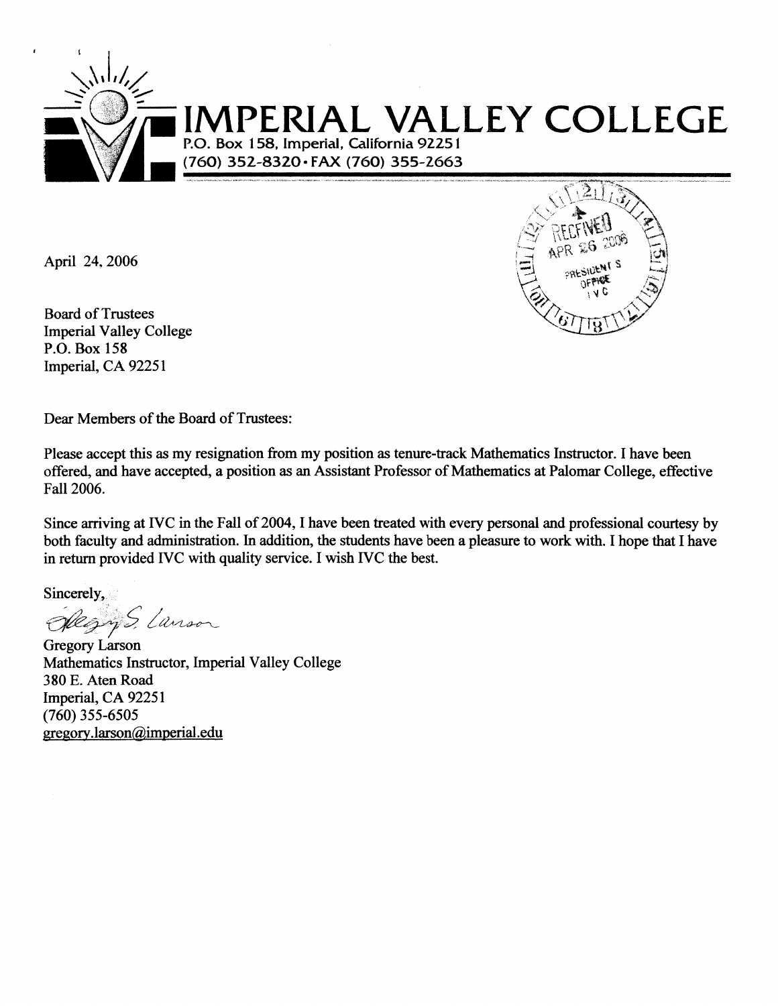

April 24, 2006



Dear Members of the Board of Trustees:

Please accept this as my resignation from my position as tenure-track Mathematics Instructor. I have been offered, and have accepted, a position as an Assistant Professor of Mathematics at Palomar College, effective Fall 2006.

Since arriving at IVC in the Fall of 2004, I have been treated with every personal and professional courtesy by both faculty and administration. In addition, the students have been a pleasure to work with. I hope that I have in return provided IVC with quality service. I wish IVC the best.

Sincerely,

Regns, Lanson

Gregory Larson Mathematics Instructor, Imperial Valley College 380 E. Aten Road Imperial, CA 92251  $(760)$  355-6505 gregory.larson@imperial.edu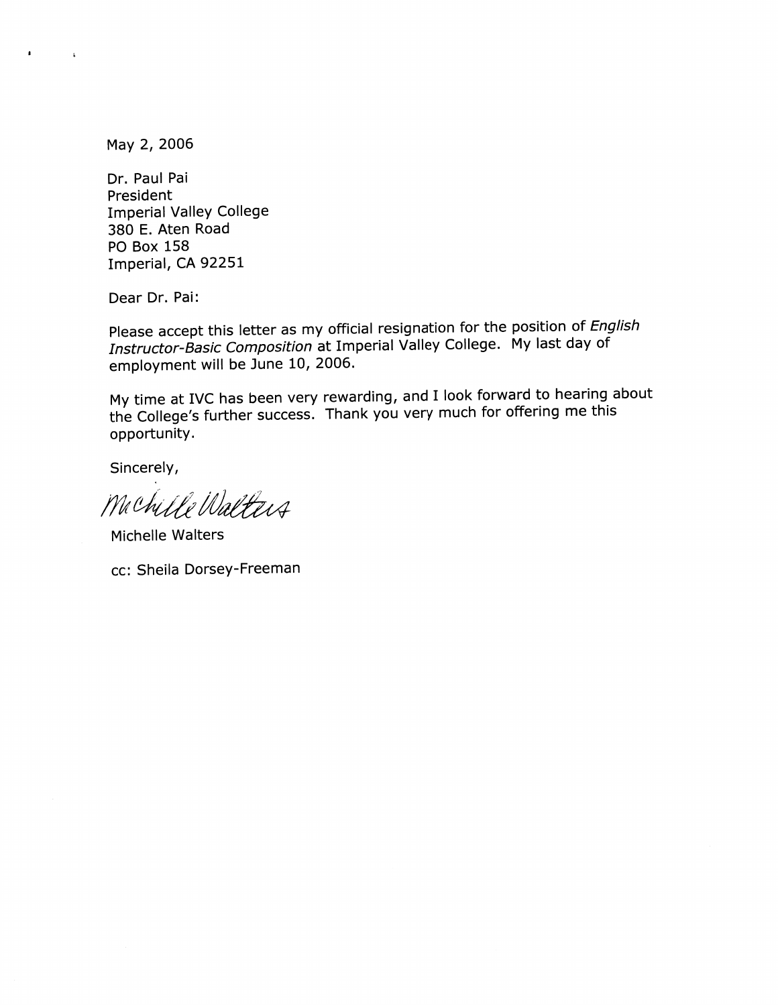May 2, 2006

 $\bullet$ 

 $\bar{\mathbf{A}}$ 

Dr. Paul Pai President **Imperial Valley College** 380 E. Aten Road **PO Box 158** Imperial, CA 92251

Dear Dr. Pai:

Please accept this letter as my official resignation for the position of English Instructor-Basic Composition at Imperial Valley College. My last day of employment will be June 10, 2006.

My time at IVC has been very rewarding, and I look forward to hearing about the College's further success. Thank you very much for offering me this opportunity.

Sincerely,

Machille Walters

Michelle Walters

cc: Sheila Dorsey-Freeman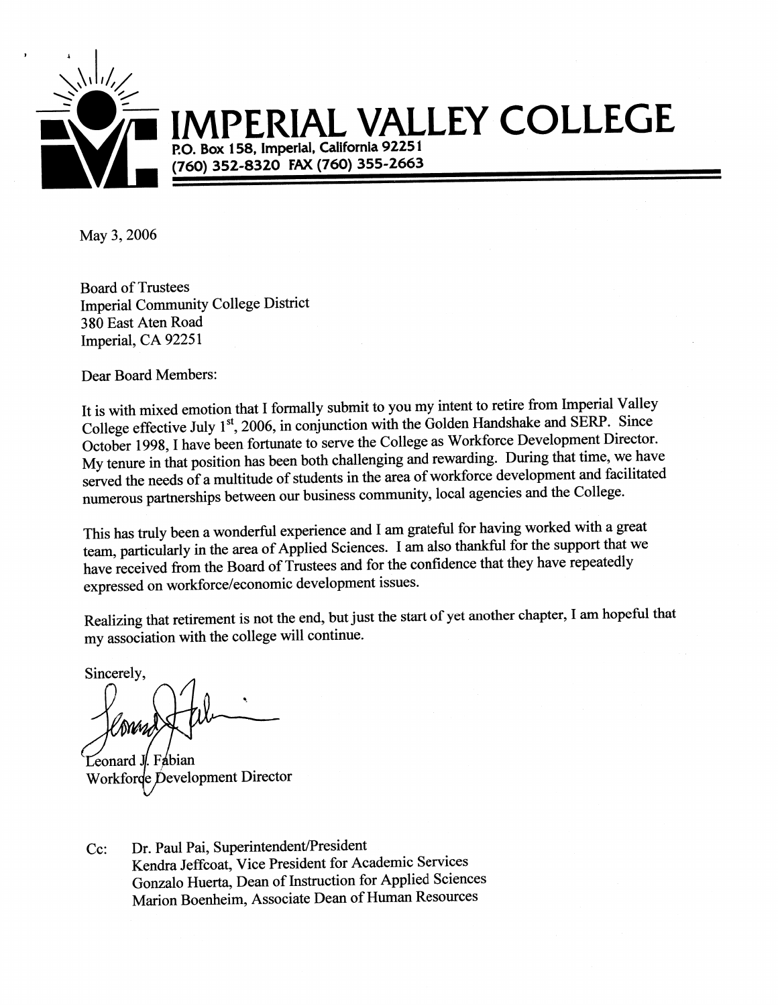

# **IAL VALLEY COLLEGE**

P.O. Box 158, Imperial, California 92251 (760) 352-8320 FAX (760) 355-2663

May 3, 2006

**Board of Trustees Imperial Community College District** 380 East Aten Road Imperial, CA 92251

**Dear Board Members:** 

It is with mixed emotion that I formally submit to you my intent to retire from Imperial Valley College effective July 1st, 2006, in conjunction with the Golden Handshake and SERP. Since October 1998, I have been fortunate to serve the College as Workforce Development Director. My tenure in that position has been both challenging and rewarding. During that time, we have served the needs of a multitude of students in the area of workforce development and facilitated numerous partnerships between our business community, local agencies and the College.

This has truly been a wonderful experience and I am grateful for having worked with a great team, particularly in the area of Applied Sciences. I am also thankful for the support that we have received from the Board of Trustees and for the confidence that they have repeatedly expressed on workforce/economic development issues.

Realizing that retirement is not the end, but just the start of yet another chapter, I am hopeful that my association with the college will continue.

Sincerely,

**MW** 

Fábian Leonard J Workforde Development Director

Dr. Paul Pai, Superintendent/President  $Cc:$ Kendra Jeffcoat, Vice President for Academic Services Gonzalo Huerta, Dean of Instruction for Applied Sciences Marion Boenheim, Associate Dean of Human Resources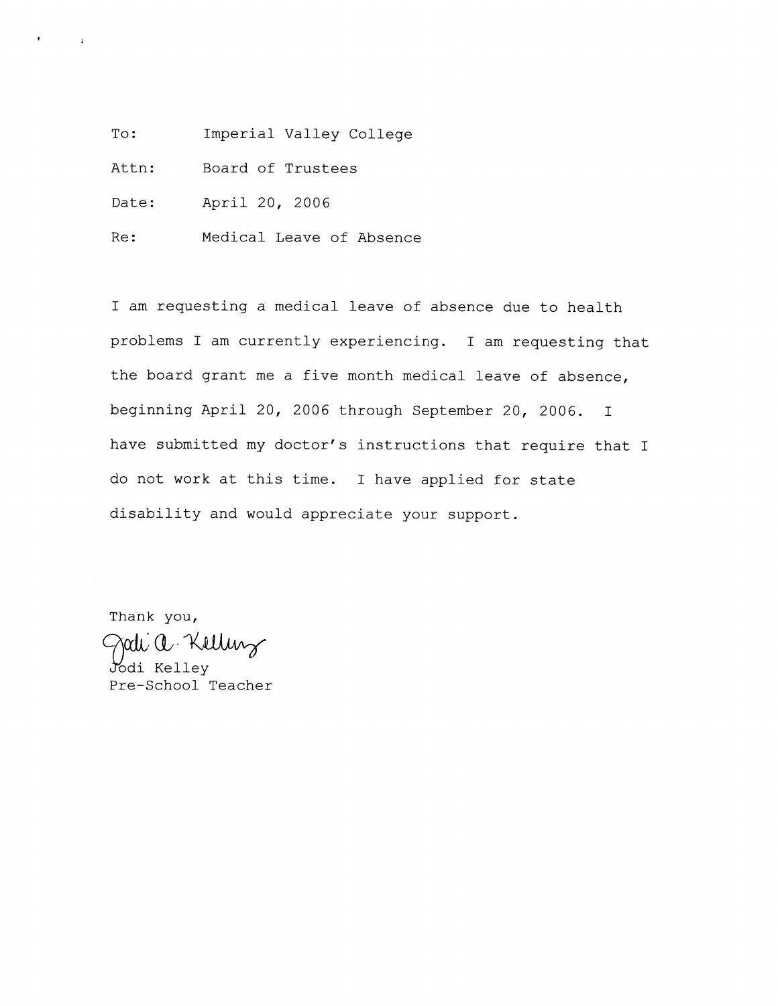To: Imperial Valley College

Attn: Board of Trustees

Date: April 20, 2006

 $\mathbf{I}$ 

Medical Leave of Absence Re:

I am requesting a medical leave of absence due to health problems I am currently experiencing. I am requesting that the board grant me a five month medical leave of absence, beginning April 20, 2006 through September 20, 2006.  $\mathbb{I}$ have submitted my doctor's instructions that require that I do not work at this time. I have applied for state disability and would appreciate your support.

Thank you, rati a Kelling Jodi Kelley

Pre-School Teacher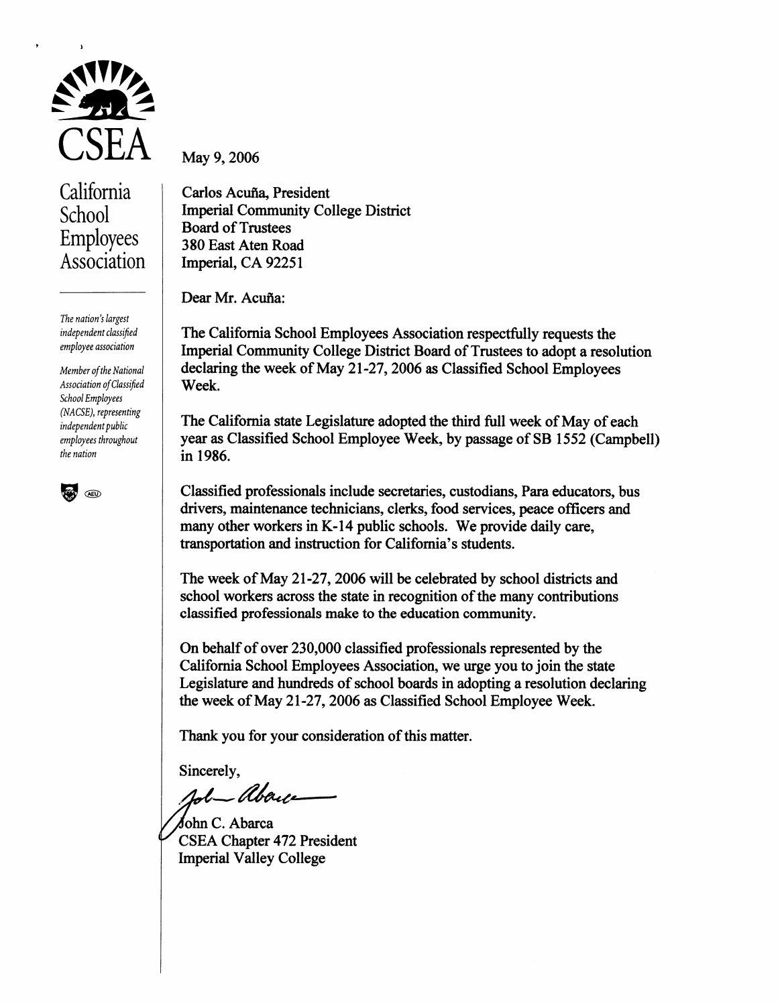

California School Employees Association

The nation's largest independent classified employee association

Member of the National Association of Classified School Employees (NACSE), representing independent public employees throughout the nation



May 9, 2006

Carlos Acuña, President **Imperial Community College District Board of Trustees** 380 East Aten Road Imperial, CA 92251

Dear Mr. Acuña:

The California School Employees Association respectfully requests the Imperial Community College District Board of Trustees to adopt a resolution declaring the week of May 21-27, 2006 as Classified School Employees Week.

The California state Legislature adopted the third full week of May of each year as Classified School Employee Week, by passage of SB 1552 (Campbell) in 1986.

Classified professionals include secretaries, custodians, Para educators, bus drivers, maintenance technicians, clerks, food services, peace officers and many other workers in K-14 public schools. We provide daily care, transportation and instruction for California's students.

The week of May 21-27, 2006 will be celebrated by school districts and school workers across the state in recognition of the many contributions classified professionals make to the education community.

On behalf of over 230,000 classified professionals represented by the California School Employees Association, we urge you to join the state Legislature and hundreds of school boards in adopting a resolution declaring the week of May 21-27, 2006 as Classified School Employee Week.

Thank you for your consideration of this matter.

Sincerely.

- Abene

John C. Abarca **CSEA Chapter 472 President Imperial Valley College**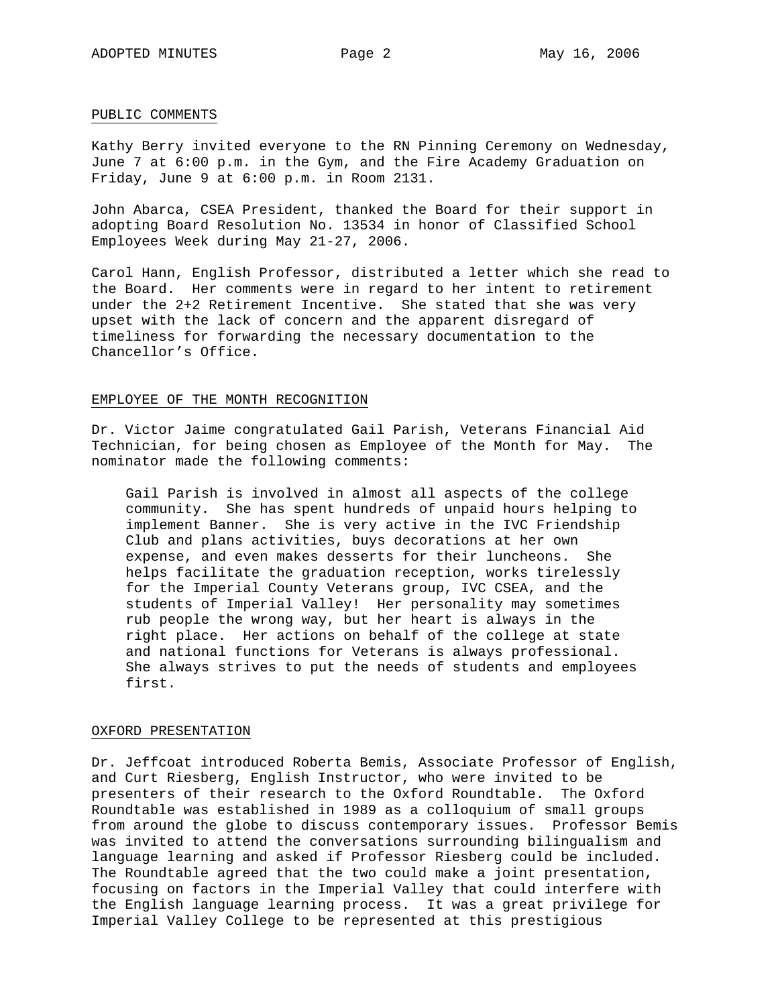### PUBLIC COMMENTS

Kathy Berry invited everyone to the RN Pinning Ceremony on Wednesday, June 7 at 6:00 p.m. in the Gym, and the Fire Academy Graduation on Friday, June 9 at 6:00 p.m. in Room 2131.

John Abarca, CSEA President, thanked the Board for their support in adopting Board Resolution No. 13534 in honor of Classified School Employees Week during May 21-27, 2006.

Carol Hann, English Professor, distributed a letter which she read to the Board. Her comments were in regard to her intent to retirement under the 2+2 Retirement Incentive. She stated that she was very upset with the lack of concern and the apparent disregard of timeliness for forwarding the necessary documentation to the Chancellor's Office.

### EMPLOYEE OF THE MONTH RECOGNITION

Dr. Victor Jaime congratulated Gail Parish, Veterans Financial Aid Technician, for being chosen as Employee of the Month for May. The nominator made the following comments:

Gail Parish is involved in almost all aspects of the college community. She has spent hundreds of unpaid hours helping to implement Banner. She is very active in the IVC Friendship Club and plans activities, buys decorations at her own expense, and even makes desserts for their luncheons. She helps facilitate the graduation reception, works tirelessly for the Imperial County Veterans group, IVC CSEA, and the students of Imperial Valley! Her personality may sometimes rub people the wrong way, but her heart is always in the right place. Her actions on behalf of the college at state and national functions for Veterans is always professional. She always strives to put the needs of students and employees first.

### OXFORD PRESENTATION

Dr. Jeffcoat introduced Roberta Bemis, Associate Professor of English, and Curt Riesberg, English Instructor, who were invited to be presenters of their research to the Oxford Roundtable. The Oxford Roundtable was established in 1989 as a colloquium of small groups from around the globe to discuss contemporary issues. Professor Bemis was invited to attend the conversations surrounding bilingualism and language learning and asked if Professor Riesberg could be included. The Roundtable agreed that the two could make a joint presentation, focusing on factors in the Imperial Valley that could interfere with the English language learning process. It was a great privilege for Imperial Valley College to be represented at this prestigious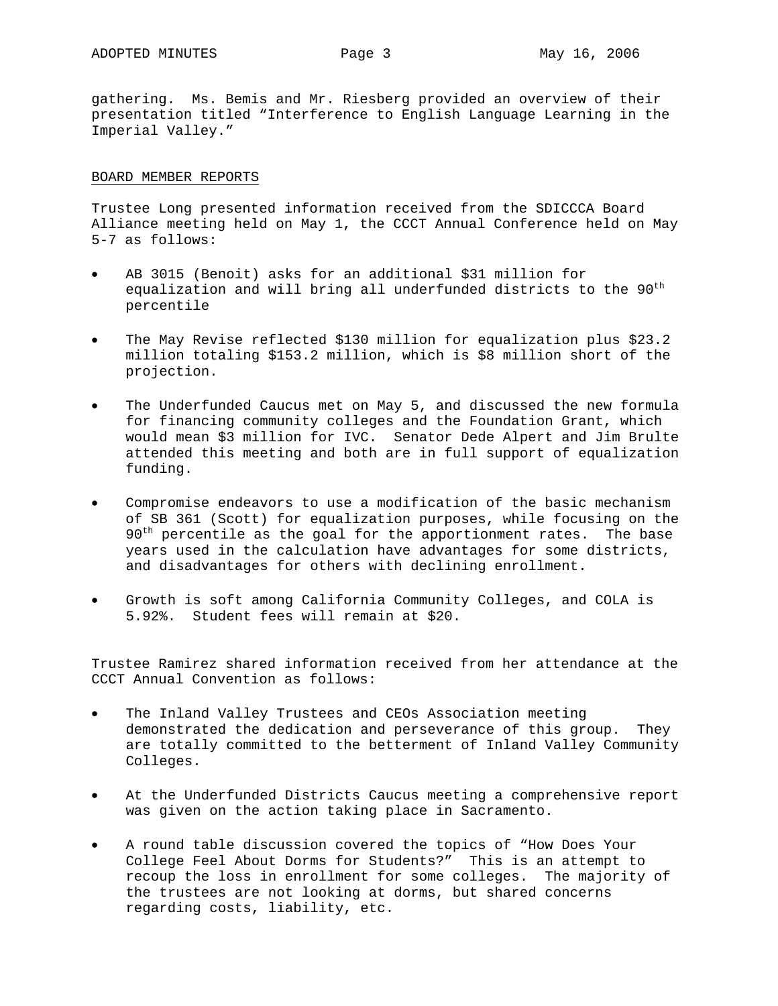gathering. Ms. Bemis and Mr. Riesberg provided an overview of their presentation titled "Interference to English Language Learning in the Imperial Valley."

### BOARD MEMBER REPORTS

Trustee Long presented information received from the SDICCCA Board Alliance meeting held on May 1, the CCCT Annual Conference held on May 5-7 as follows:

- AB 3015 (Benoit) asks for an additional \$31 million for equalization and will bring all underfunded districts to the 90<sup>th</sup> percentile
- The May Revise reflected \$130 million for equalization plus \$23.2 million totaling \$153.2 million, which is \$8 million short of the projection.
- The Underfunded Caucus met on May 5, and discussed the new formula for financing community colleges and the Foundation Grant, which would mean \$3 million for IVC. Senator Dede Alpert and Jim Brulte attended this meeting and both are in full support of equalization funding.
- Compromise endeavors to use a modification of the basic mechanism of SB 361 (Scott) for equalization purposes, while focusing on the  $90<sup>th</sup>$  percentile as the goal for the apportionment rates. The base years used in the calculation have advantages for some districts, and disadvantages for others with declining enrollment.
- Growth is soft among California Community Colleges, and COLA is 5.92%. Student fees will remain at \$20.

Trustee Ramirez shared information received from her attendance at the CCCT Annual Convention as follows:

- The Inland Valley Trustees and CEOs Association meeting demonstrated the dedication and perseverance of this group. They are totally committed to the betterment of Inland Valley Community Colleges.
- At the Underfunded Districts Caucus meeting a comprehensive report was given on the action taking place in Sacramento.
- A round table discussion covered the topics of "How Does Your College Feel About Dorms for Students?" This is an attempt to recoup the loss in enrollment for some colleges. The majority of the trustees are not looking at dorms, but shared concerns regarding costs, liability, etc.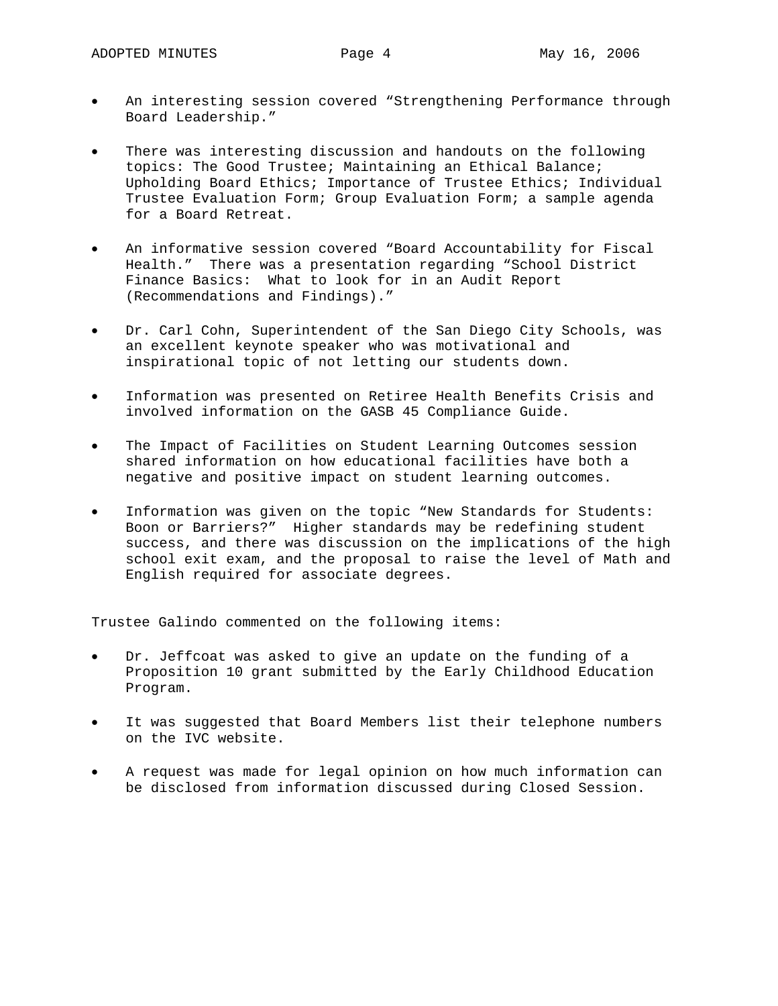- An interesting session covered "Strengthening Performance through Board Leadership."
- There was interesting discussion and handouts on the following topics: The Good Trustee; Maintaining an Ethical Balance; Upholding Board Ethics; Importance of Trustee Ethics; Individual Trustee Evaluation Form; Group Evaluation Form; a sample agenda for a Board Retreat.
- An informative session covered "Board Accountability for Fiscal Health." There was a presentation regarding "School District Finance Basics: What to look for in an Audit Report (Recommendations and Findings)."
- Dr. Carl Cohn, Superintendent of the San Diego City Schools, was an excellent keynote speaker who was motivational and inspirational topic of not letting our students down.
- Information was presented on Retiree Health Benefits Crisis and involved information on the GASB 45 Compliance Guide.
- The Impact of Facilities on Student Learning Outcomes session shared information on how educational facilities have both a negative and positive impact on student learning outcomes.
- Information was given on the topic "New Standards for Students: Boon or Barriers?" Higher standards may be redefining student success, and there was discussion on the implications of the high school exit exam, and the proposal to raise the level of Math and English required for associate degrees.

Trustee Galindo commented on the following items:

- Dr. Jeffcoat was asked to give an update on the funding of a Proposition 10 grant submitted by the Early Childhood Education Program.
- It was suggested that Board Members list their telephone numbers on the IVC website.
- A request was made for legal opinion on how much information can be disclosed from information discussed during Closed Session.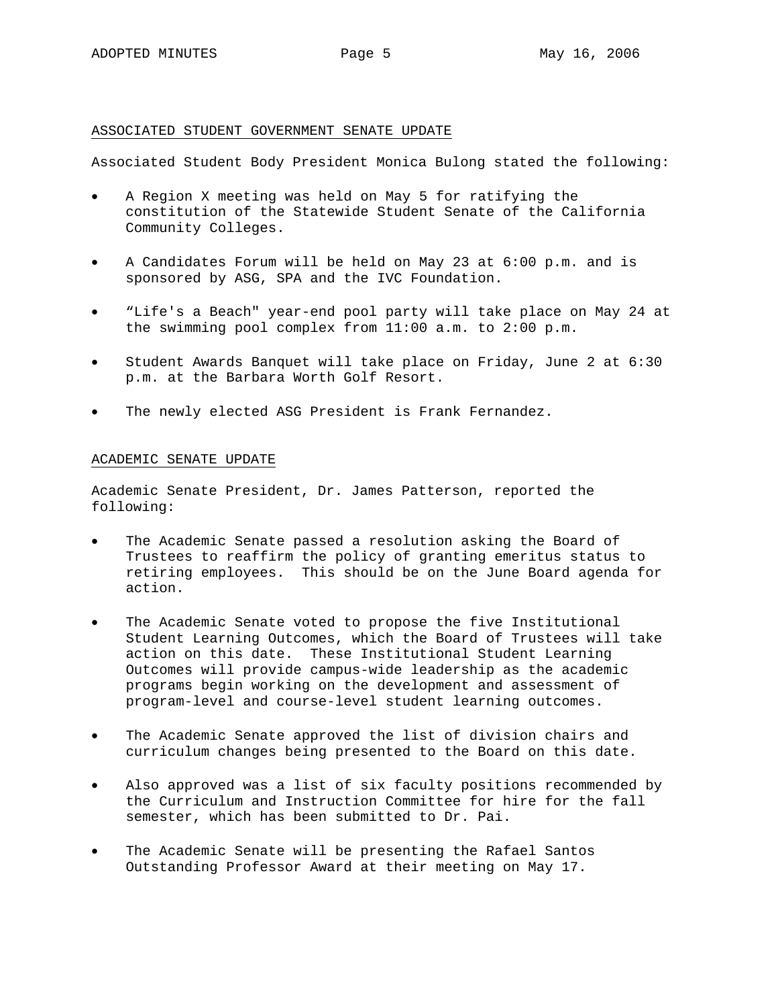### ASSOCIATED STUDENT GOVERNMENT SENATE UPDATE

Associated Student Body President Monica Bulong stated the following:

- A Region X meeting was held on May 5 for ratifying the constitution of the Statewide Student Senate of the California Community Colleges.
- A Candidates Forum will be held on May 23 at 6:00 p.m. and is sponsored by ASG, SPA and the IVC Foundation.
- "Life's a Beach" year-end pool party will take place on May 24 at the swimming pool complex from 11:00 a.m. to 2:00 p.m.
- Student Awards Banquet will take place on Friday, June 2 at 6:30 p.m. at the Barbara Worth Golf Resort.
- The newly elected ASG President is Frank Fernandez.

### ACADEMIC SENATE UPDATE

Academic Senate President, Dr. James Patterson, reported the following:

- The Academic Senate passed a resolution asking the Board of Trustees to reaffirm the policy of granting emeritus status to retiring employees. This should be on the June Board agenda for action.
- The Academic Senate voted to propose the five Institutional Student Learning Outcomes, which the Board of Trustees will take action on this date. These Institutional Student Learning Outcomes will provide campus-wide leadership as the academic programs begin working on the development and assessment of program-level and course-level student learning outcomes.
- The Academic Senate approved the list of division chairs and curriculum changes being presented to the Board on this date.
- Also approved was a list of six faculty positions recommended by the Curriculum and Instruction Committee for hire for the fall semester, which has been submitted to Dr. Pai.
- The Academic Senate will be presenting the Rafael Santos Outstanding Professor Award at their meeting on May 17.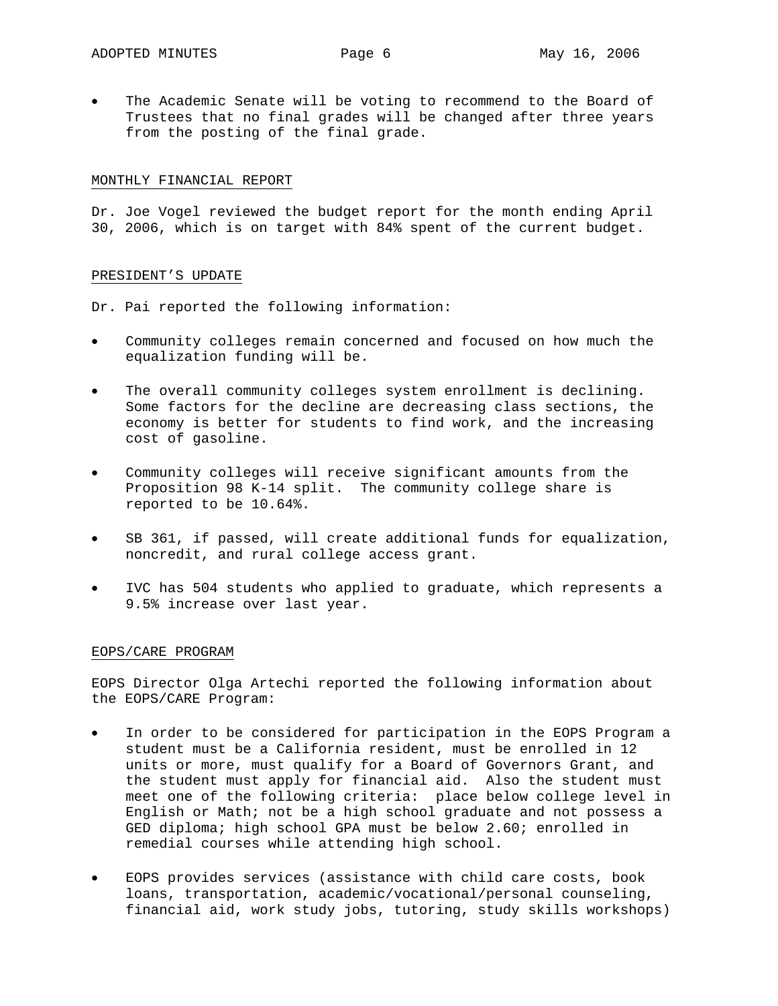The Academic Senate will be voting to recommend to the Board of Trustees that no final grades will be changed after three years from the posting of the final grade.

### MONTHLY FINANCIAL REPORT

Dr. Joe Vogel reviewed the budget report for the month ending April 30, 2006, which is on target with 84% spent of the current budget.

### PRESIDENT'S UPDATE

Dr. Pai reported the following information:

- Community colleges remain concerned and focused on how much the equalization funding will be.
- The overall community colleges system enrollment is declining. Some factors for the decline are decreasing class sections, the economy is better for students to find work, and the increasing cost of gasoline.
- Community colleges will receive significant amounts from the Proposition 98 K-14 split. The community college share is reported to be 10.64%.
- SB 361, if passed, will create additional funds for equalization, noncredit, and rural college access grant.
- IVC has 504 students who applied to graduate, which represents a 9.5% increase over last year.

### EOPS/CARE PROGRAM

EOPS Director Olga Artechi reported the following information about the EOPS/CARE Program:

- In order to be considered for participation in the EOPS Program a student must be a California resident, must be enrolled in 12 units or more, must qualify for a Board of Governors Grant, and the student must apply for financial aid. Also the student must meet one of the following criteria: place below college level in English or Math; not be a high school graduate and not possess a GED diploma; high school GPA must be below 2.60; enrolled in remedial courses while attending high school.
- EOPS provides services (assistance with child care costs, book loans, transportation, academic/vocational/personal counseling, financial aid, work study jobs, tutoring, study skills workshops)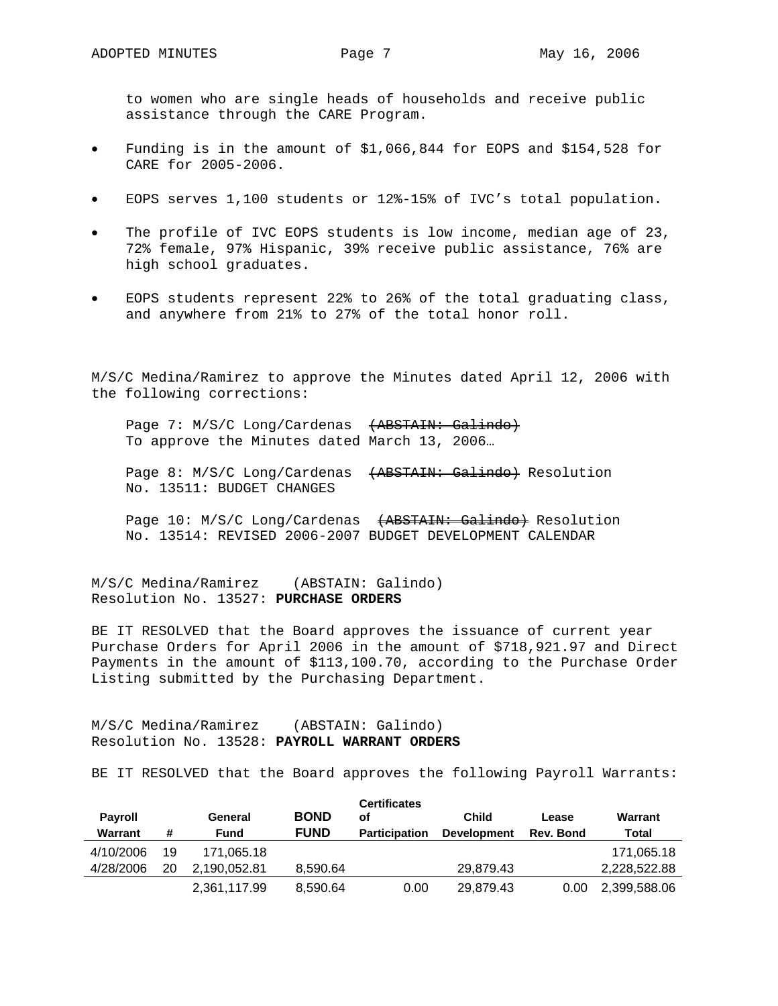to women who are single heads of households and receive public assistance through the CARE Program.

- Funding is in the amount of \$1,066,844 for EOPS and \$154,528 for CARE for 2005-2006.
- EOPS serves 1,100 students or 12%-15% of IVC's total population.
- The profile of IVC EOPS students is low income, median age of 23, 72% female, 97% Hispanic, 39% receive public assistance, 76% are high school graduates.
- EOPS students represent 22% to 26% of the total graduating class, and anywhere from 21% to 27% of the total honor roll.

M/S/C Medina/Ramirez to approve the Minutes dated April 12, 2006 with the following corrections:

Page 7: M/S/C Long/Cardenas (ABSTAIN: Galindo) To approve the Minutes dated March 13, 2006…

Page 8: M/S/C Long/Cardenas (ABSTAIN: Galindo) Resolution No. 13511: BUDGET CHANGES

Page 10: M/S/C Long/Cardenas (ABSTAIN: Galindo) Resolution No. 13514: REVISED 2006-2007 BUDGET DEVELOPMENT CALENDAR

M/S/C Medina/Ramirez (ABSTAIN: Galindo) Resolution No. 13527: **PURCHASE ORDERS**

BE IT RESOLVED that the Board approves the issuance of current year Purchase Orders for April 2006 in the amount of \$718,921.97 and Direct Payments in the amount of \$113,100.70, according to the Purchase Order Listing submitted by the Purchasing Department.

M/S/C Medina/Ramirez (ABSTAIN: Galindo) Resolution No. 13528: **PAYROLL WARRANT ORDERS**

BE IT RESOLVED that the Board approves the following Payroll Warrants:

| <b>Payroll</b><br>Warrant | #  | General<br>Fund | <b>BOND</b><br><b>FUND</b> | <b>Certificates</b><br>οf<br><b>Participation</b> | <b>Child</b><br><b>Development</b> | Lease<br>Rev. Bond | Warrant<br>Total |
|---------------------------|----|-----------------|----------------------------|---------------------------------------------------|------------------------------------|--------------------|------------------|
| 4/10/2006                 | 19 | 171.065.18      |                            |                                                   |                                    |                    | 171.065.18       |
| 4/28/2006                 | 20 | 2.190.052.81    | 8.590.64                   |                                                   | 29.879.43                          |                    | 2,228,522.88     |
|                           |    | 2,361,117.99    | 8,590.64                   | 0.00                                              | 29,879.43                          | 0.00               | 2,399,588.06     |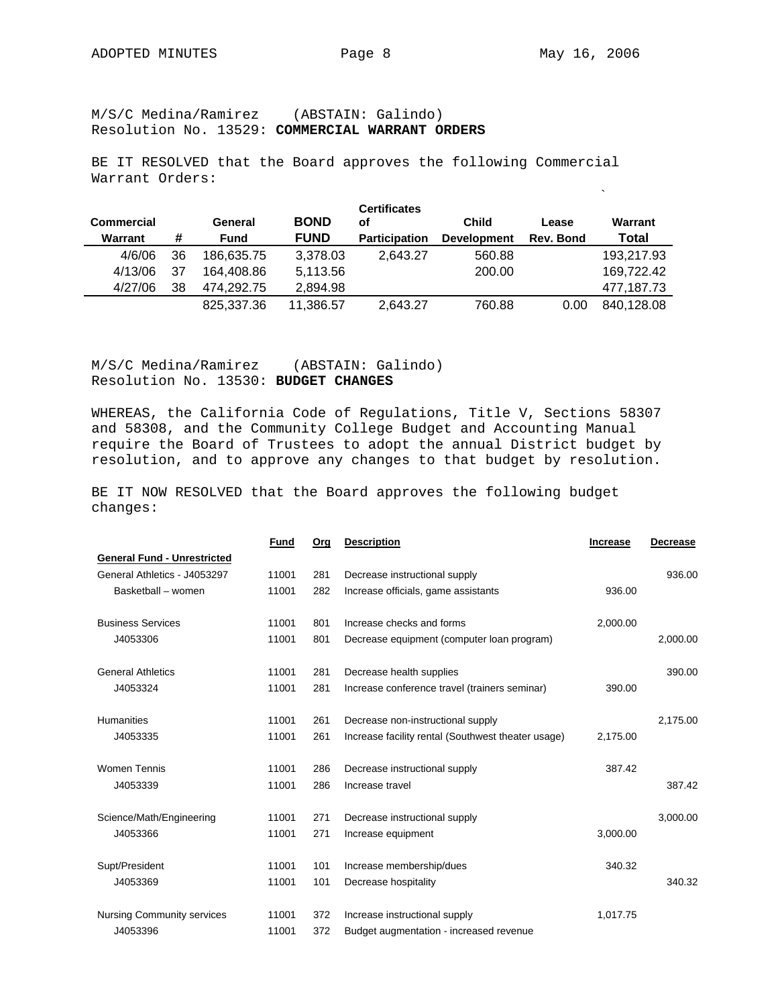M/S/C Medina/Ramirez (ABSTAIN: Galindo) Resolution No. 13529: **COMMERCIAL WARRANT ORDERS**

BE IT RESOLVED that the Board approves the following Commercial Warrant Orders:

 $\ddot{\phantom{a}}$ 

| <b>Commercial</b> |    | General    | <b>BOND</b> | <b>Certificates</b><br>оf | <b>Child</b>       | Lease     | Warrant    |
|-------------------|----|------------|-------------|---------------------------|--------------------|-----------|------------|
| Warrant           | #  | Fund       | <b>FUND</b> | <b>Participation</b>      | <b>Development</b> | Rev. Bond | Total      |
| 4/6/06            | 36 | 186.635.75 | 3.378.03    | 2.643.27                  | 560.88             |           | 193,217.93 |
| 4/13/06           | 37 | 164.408.86 | 5.113.56    |                           | 200.00             |           | 169.722.42 |
| 4/27/06           | 38 | 474.292.75 | 2,894.98    |                           |                    |           | 477,187.73 |
|                   |    | 825,337.36 | 11,386.57   | 2,643.27                  | 760.88             | 0.00      | 840.128.08 |

M/S/C Medina/Ramirez (ABSTAIN: Galindo) Resolution No. 13530: **BUDGET CHANGES** 

WHEREAS, the California Code of Regulations, Title V, Sections 58307 and 58308, and the Community College Budget and Accounting Manual require the Board of Trustees to adopt the annual District budget by resolution, and to approve any changes to that budget by resolution.

BE IT NOW RESOLVED that the Board approves the following budget changes:

|                                    | <b>Fund</b> | Org | <b>Description</b>                                 | <b>Increase</b> | <b>Decrease</b> |
|------------------------------------|-------------|-----|----------------------------------------------------|-----------------|-----------------|
| <b>General Fund - Unrestricted</b> |             |     |                                                    |                 |                 |
| General Athletics - J4053297       | 11001       | 281 | Decrease instructional supply                      |                 | 936.00          |
| Basketball - women                 | 11001       | 282 | Increase officials, game assistants                | 936.00          |                 |
| <b>Business Services</b>           | 11001       | 801 | Increase checks and forms                          | 2,000.00        |                 |
| J4053306                           | 11001       | 801 | Decrease equipment (computer loan program)         |                 | 2,000.00        |
| <b>General Athletics</b>           | 11001       | 281 | Decrease health supplies                           |                 | 390.00          |
| J4053324                           | 11001       | 281 | Increase conference travel (trainers seminar)      | 390.00          |                 |
| Humanities                         | 11001       | 261 | Decrease non-instructional supply                  |                 | 2,175.00        |
| J4053335                           | 11001       | 261 | Increase facility rental (Southwest theater usage) | 2,175.00        |                 |
| <b>Women Tennis</b>                | 11001       | 286 | Decrease instructional supply                      | 387.42          |                 |
| J4053339                           | 11001       | 286 | Increase travel                                    |                 | 387.42          |
| Science/Math/Engineering           | 11001       | 271 | Decrease instructional supply                      |                 | 3,000.00        |
| J4053366                           | 11001       | 271 | Increase equipment                                 | 3,000.00        |                 |
| Supt/President                     | 11001       | 101 | Increase membership/dues                           | 340.32          |                 |
| J4053369                           | 11001       | 101 | Decrease hospitality                               |                 | 340.32          |
| <b>Nursing Community services</b>  | 11001       | 372 | Increase instructional supply                      | 1,017.75        |                 |
| J4053396                           | 11001       | 372 | Budget augmentation - increased revenue            |                 |                 |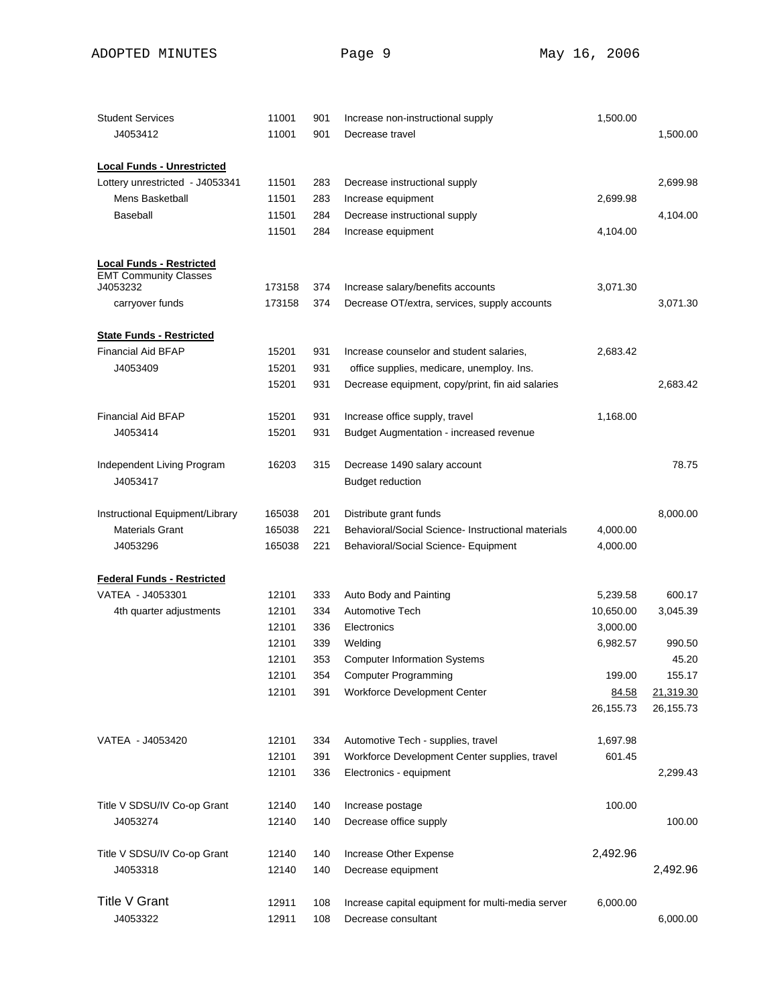| <b>Student Services</b>                                         | 11001          | 901        | Increase non-instructional supply                                                     | 1,500.00  |           |
|-----------------------------------------------------------------|----------------|------------|---------------------------------------------------------------------------------------|-----------|-----------|
| J4053412                                                        | 11001          | 901        | Decrease travel                                                                       |           | 1,500.00  |
|                                                                 |                |            |                                                                                       |           |           |
| <b>Local Funds - Unrestricted</b>                               |                |            |                                                                                       |           |           |
| Lottery unrestricted - J4053341                                 | 11501          | 283        | Decrease instructional supply                                                         |           | 2,699.98  |
| Mens Basketball                                                 | 11501          | 283        | Increase equipment                                                                    | 2,699.98  |           |
| Baseball                                                        | 11501          | 284        | Decrease instructional supply                                                         |           | 4,104.00  |
|                                                                 | 11501          | 284        | Increase equipment                                                                    | 4,104.00  |           |
|                                                                 |                |            |                                                                                       |           |           |
| <b>Local Funds - Restricted</b><br><b>EMT Community Classes</b> |                |            |                                                                                       |           |           |
| J4053232                                                        | 173158         | 374        | Increase salary/benefits accounts                                                     | 3,071.30  |           |
| carryover funds                                                 | 173158         | 374        | Decrease OT/extra, services, supply accounts                                          |           | 3,071.30  |
|                                                                 |                |            |                                                                                       |           |           |
| <b>State Funds - Restricted</b><br><b>Financial Aid BFAP</b>    |                |            |                                                                                       |           |           |
| J4053409                                                        | 15201<br>15201 | 931<br>931 | Increase counselor and student salaries,<br>office supplies, medicare, unemploy. Ins. | 2,683.42  |           |
|                                                                 |                |            |                                                                                       |           |           |
|                                                                 | 15201          | 931        | Decrease equipment, copy/print, fin aid salaries                                      |           | 2,683.42  |
| <b>Financial Aid BFAP</b>                                       | 15201          | 931        | Increase office supply, travel                                                        | 1,168.00  |           |
| J4053414                                                        | 15201          | 931        | <b>Budget Augmentation - increased revenue</b>                                        |           |           |
|                                                                 |                |            |                                                                                       |           |           |
| Independent Living Program                                      | 16203          | 315        | Decrease 1490 salary account                                                          |           | 78.75     |
| J4053417                                                        |                |            | <b>Budget reduction</b>                                                               |           |           |
|                                                                 |                |            |                                                                                       |           |           |
| Instructional Equipment/Library                                 | 165038         | 201        | Distribute grant funds                                                                |           | 8,000.00  |
| <b>Materials Grant</b>                                          | 165038         | 221        | Behavioral/Social Science- Instructional materials                                    | 4,000.00  |           |
| J4053296                                                        | 165038         | 221        | Behavioral/Social Science- Equipment                                                  | 4,000.00  |           |
| <b>Federal Funds - Restricted</b>                               |                |            |                                                                                       |           |           |
| VATEA - J4053301                                                | 12101          | 333        | Auto Body and Painting                                                                | 5,239.58  | 600.17    |
| 4th quarter adjustments                                         | 12101          | 334        | <b>Automotive Tech</b>                                                                | 10,650.00 | 3,045.39  |
|                                                                 | 12101          | 336        | Electronics                                                                           | 3,000.00  |           |
|                                                                 | 12101          | 339        | Welding                                                                               | 6,982.57  | 990.50    |
|                                                                 | 12101          | 353        | <b>Computer Information Systems</b>                                                   |           | 45.20     |
|                                                                 | 12101          | 354        | <b>Computer Programming</b>                                                           | 199.00    | 155.17    |
|                                                                 | 12101          | 391        | Workforce Development Center                                                          | 84.58     | 21,319.30 |
|                                                                 |                |            |                                                                                       | 26,155.73 | 26,155.73 |
| VATEA - J4053420                                                | 12101          | 334        | Automotive Tech - supplies, travel                                                    | 1,697.98  |           |
|                                                                 | 12101          | 391        | Workforce Development Center supplies, travel                                         | 601.45    |           |
|                                                                 | 12101          | 336        | Electronics - equipment                                                               |           | 2,299.43  |
|                                                                 |                |            |                                                                                       |           |           |
| Title V SDSU/IV Co-op Grant                                     | 12140          | 140        | Increase postage                                                                      | 100.00    |           |
| J4053274                                                        | 12140          | 140        | Decrease office supply                                                                |           | 100.00    |
|                                                                 |                |            |                                                                                       |           |           |
| Title V SDSU/IV Co-op Grant                                     | 12140          | 140        | Increase Other Expense                                                                | 2,492.96  |           |
| J4053318                                                        | 12140          | 140        | Decrease equipment                                                                    |           | 2,492.96  |
| <b>Title V Grant</b>                                            | 12911          | 108        | Increase capital equipment for multi-media server                                     | 6,000.00  |           |
| J4053322                                                        | 12911          | 108        | Decrease consultant                                                                   |           | 6,000.00  |
|                                                                 |                |            |                                                                                       |           |           |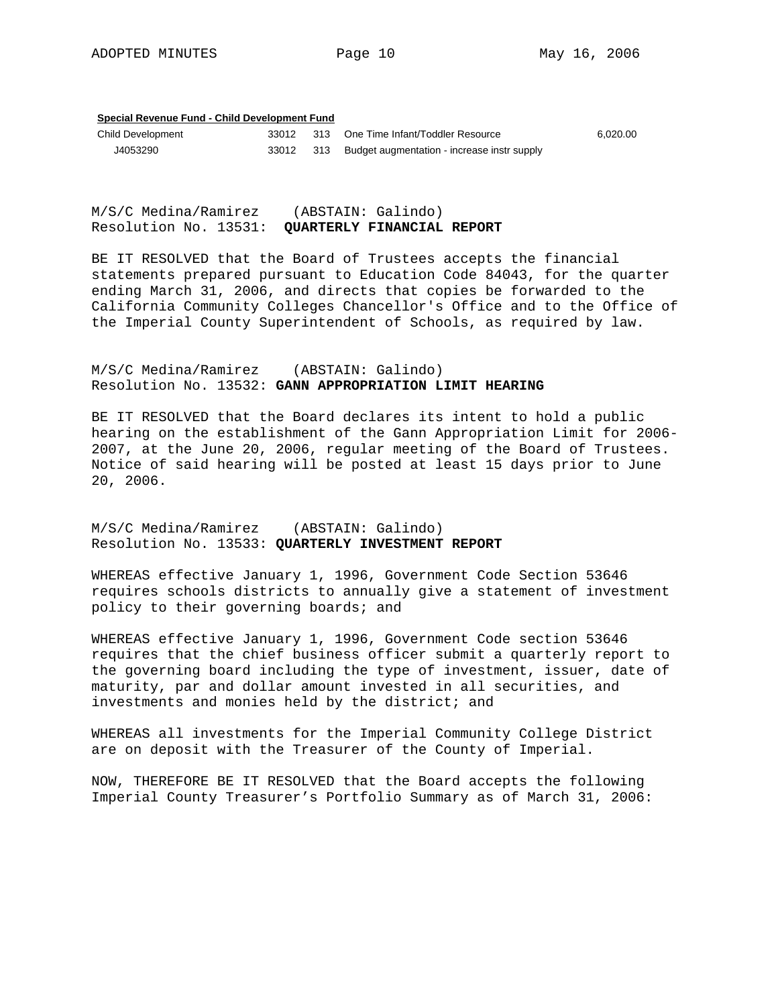### **Special Revenue Fund - Child Development Fund**

| <b>Child Development</b> | 33012 | 313 One Time Infant/Toddler Resource            | 6.020.00 |
|--------------------------|-------|-------------------------------------------------|----------|
| J4053290                 |       | 313 Budget augmentation - increase instr supply |          |

M/S/C Medina/Ramirez (ABSTAIN: Galindo) Resolution No. 13531: **QUARTERLY FINANCIAL REPORT** 

BE IT RESOLVED that the Board of Trustees accepts the financial statements prepared pursuant to Education Code 84043, for the quarter ending March 31, 2006, and directs that copies be forwarded to the California Community Colleges Chancellor's Office and to the Office of the Imperial County Superintendent of Schools, as required by law.

### M/S/C Medina/Ramirez (ABSTAIN: Galindo) Resolution No. 13532: **GANN APPROPRIATION LIMIT HEARING**

BE IT RESOLVED that the Board declares its intent to hold a public hearing on the establishment of the Gann Appropriation Limit for 2006- 2007, at the June 20, 2006, regular meeting of the Board of Trustees. Notice of said hearing will be posted at least 15 days prior to June 20, 2006.

M/S/C Medina/Ramirez (ABSTAIN: Galindo) Resolution No. 13533: **QUARTERLY INVESTMENT REPORT**

WHEREAS effective January 1, 1996, Government Code Section 53646 requires schools districts to annually give a statement of investment policy to their governing boards; and

WHEREAS effective January 1, 1996, Government Code section 53646 requires that the chief business officer submit a quarterly report to the governing board including the type of investment, issuer, date of maturity, par and dollar amount invested in all securities, and investments and monies held by the district; and

WHEREAS all investments for the Imperial Community College District are on deposit with the Treasurer of the County of Imperial.

NOW, THEREFORE BE IT RESOLVED that the Board accepts the following Imperial County Treasurer's Portfolio Summary as of March 31, 2006: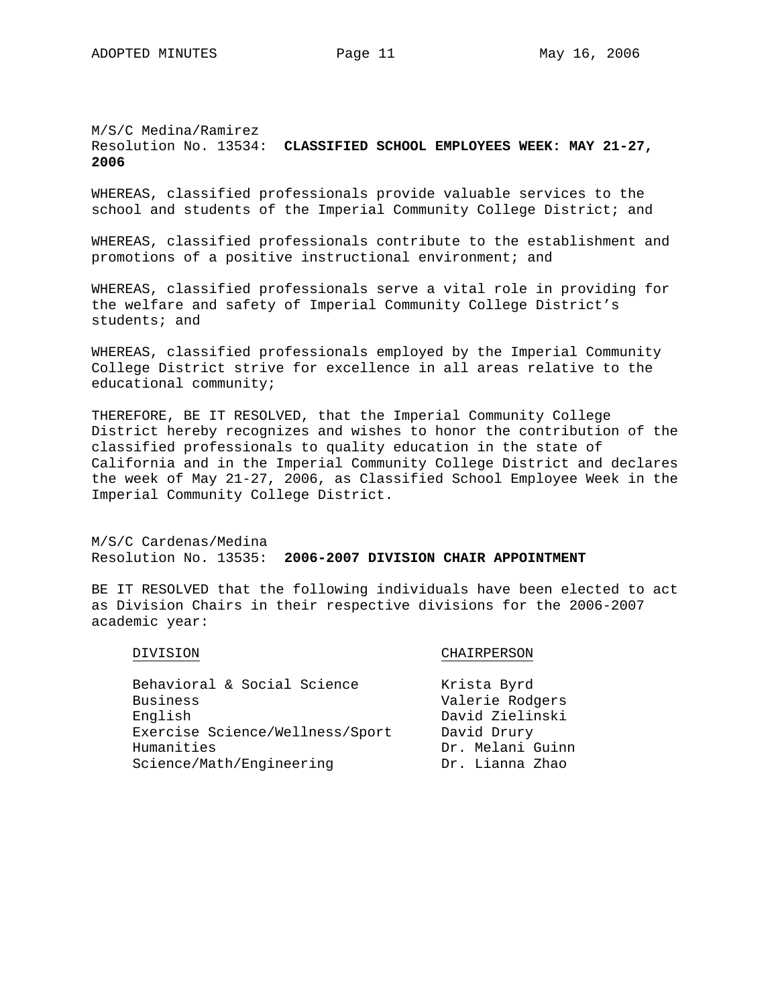M/S/C Medina/Ramirez Resolution No. 13534: **CLASSIFIED SCHOOL EMPLOYEES WEEK: MAY 21-27, 2006**

WHEREAS, classified professionals provide valuable services to the school and students of the Imperial Community College District; and

WHEREAS, classified professionals contribute to the establishment and promotions of a positive instructional environment; and

WHEREAS, classified professionals serve a vital role in providing for the welfare and safety of Imperial Community College District's students; and

WHEREAS, classified professionals employed by the Imperial Community College District strive for excellence in all areas relative to the educational community;

THEREFORE, BE IT RESOLVED, that the Imperial Community College District hereby recognizes and wishes to honor the contribution of the classified professionals to quality education in the state of California and in the Imperial Community College District and declares the week of May 21-27, 2006, as Classified School Employee Week in the Imperial Community College District.

M/S/C Cardenas/Medina Resolution No. 13535: **2006-2007 DIVISION CHAIR APPOINTMENT**

BE IT RESOLVED that the following individuals have been elected to act as Division Chairs in their respective divisions for the 2006-2007 academic year:

### DIVISION CHAIRPERSON

| Krista Byrd      |
|------------------|
| Valerie Rodgers  |
| David Zielinski  |
| David Drury      |
| Dr. Melani Guinn |
| Dr. Lianna Zhao  |
|                  |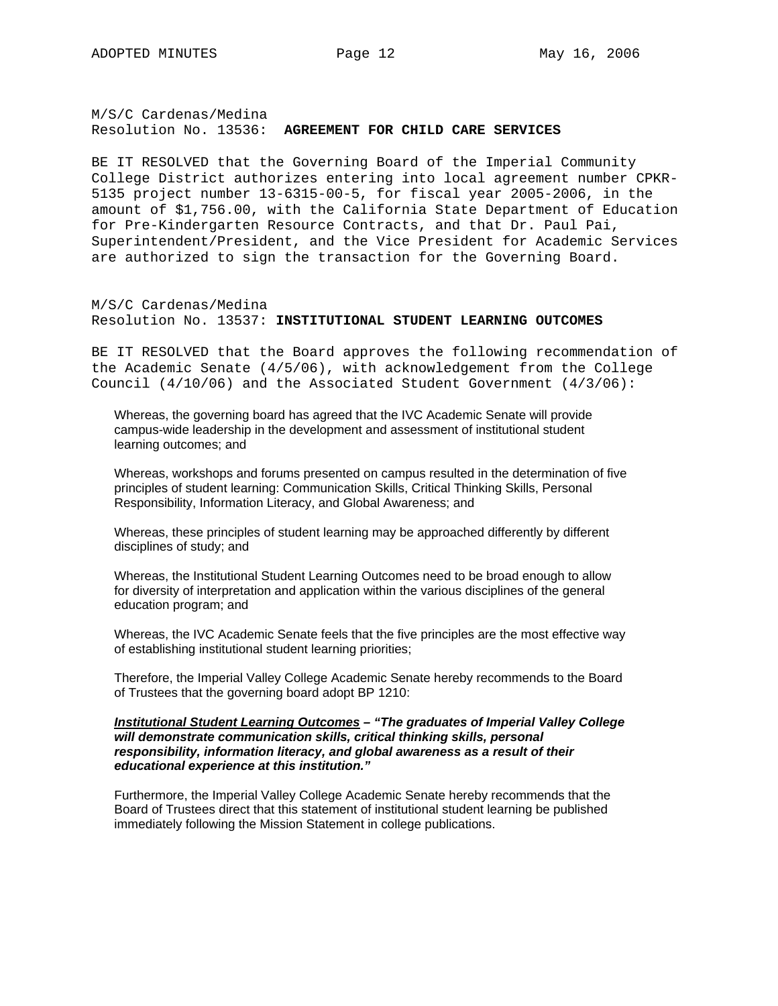### M/S/C Cardenas/Medina Resolution No. 13536: **AGREEMENT FOR CHILD CARE SERVICES**

BE IT RESOLVED that the Governing Board of the Imperial Community College District authorizes entering into local agreement number CPKR-5135 project number 13-6315-00-5, for fiscal year 2005-2006, in the amount of \$1,756.00, with the California State Department of Education for Pre-Kindergarten Resource Contracts, and that Dr. Paul Pai, Superintendent/President, and the Vice President for Academic Services are authorized to sign the transaction for the Governing Board.

M/S/C Cardenas/Medina Resolution No. 13537: **INSTITUTIONAL STUDENT LEARNING OUTCOMES**

BE IT RESOLVED that the Board approves the following recommendation of the Academic Senate (4/5/06), with acknowledgement from the College Council (4/10/06) and the Associated Student Government (4/3/06):

Whereas, the governing board has agreed that the IVC Academic Senate will provide campus-wide leadership in the development and assessment of institutional student learning outcomes; and

Whereas, workshops and forums presented on campus resulted in the determination of five principles of student learning: Communication Skills, Critical Thinking Skills, Personal Responsibility, Information Literacy, and Global Awareness; and

Whereas, these principles of student learning may be approached differently by different disciplines of study; and

Whereas, the Institutional Student Learning Outcomes need to be broad enough to allow for diversity of interpretation and application within the various disciplines of the general education program; and

Whereas, the IVC Academic Senate feels that the five principles are the most effective way of establishing institutional student learning priorities;

Therefore, the Imperial Valley College Academic Senate hereby recommends to the Board of Trustees that the governing board adopt BP 1210:

### *Institutional Student Learning Outcomes – "The graduates of Imperial Valley College will demonstrate communication skills, critical thinking skills, personal responsibility, information literacy, and global awareness as a result of their educational experience at this institution."*

Furthermore, the Imperial Valley College Academic Senate hereby recommends that the Board of Trustees direct that this statement of institutional student learning be published immediately following the Mission Statement in college publications.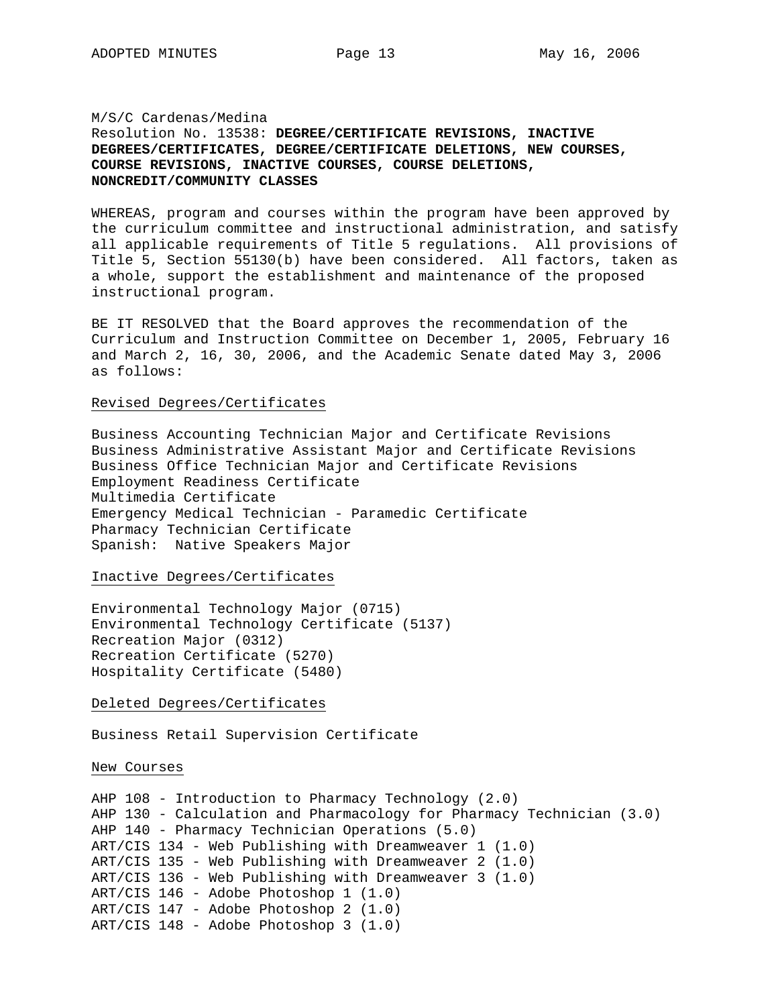### M/S/C Cardenas/Medina

### Resolution No. 13538: **DEGREE/CERTIFICATE REVISIONS, INACTIVE DEGREES/CERTIFICATES, DEGREE/CERTIFICATE DELETIONS, NEW COURSES, COURSE REVISIONS, INACTIVE COURSES, COURSE DELETIONS, NONCREDIT/COMMUNITY CLASSES**

WHEREAS, program and courses within the program have been approved by the curriculum committee and instructional administration, and satisfy all applicable requirements of Title 5 regulations. All provisions of Title 5, Section 55130(b) have been considered. All factors, taken as a whole, support the establishment and maintenance of the proposed instructional program.

BE IT RESOLVED that the Board approves the recommendation of the Curriculum and Instruction Committee on December 1, 2005, February 16 and March 2, 16, 30, 2006, and the Academic Senate dated May 3, 2006 as follows:

### Revised Degrees/Certificates

Business Accounting Technician Major and Certificate Revisions Business Administrative Assistant Major and Certificate Revisions Business Office Technician Major and Certificate Revisions Employment Readiness Certificate Multimedia Certificate Emergency Medical Technician - Paramedic Certificate Pharmacy Technician Certificate Spanish: Native Speakers Major

### Inactive Degrees/Certificates

Environmental Technology Major (0715) Environmental Technology Certificate (5137) Recreation Major (0312) Recreation Certificate (5270) Hospitality Certificate (5480)

### Deleted Degrees/Certificates

Business Retail Supervision Certificate

New Courses

```
AHP 108 - Introduction to Pharmacy Technology (2.0) 
AHP 130 - Calculation and Pharmacology for Pharmacy Technician (3.0) 
AHP 140 - Pharmacy Technician Operations (5.0) 
ART/CIS 134 - Web Publishing with Dreamweaver 1 (1.0) 
ART/CIS 135 - Web Publishing with Dreamweaver 2 (1.0) 
ART/CIS 136 - Web Publishing with Dreamweaver 3 (1.0) 
ART/CIS 146 - Adobe Photoshop 1 (1.0) 
ART/CIS 147 - Adobe Photoshop 2 (1.0) 
ART/CIS 148 - Adobe Photoshop 3 (1.0)
```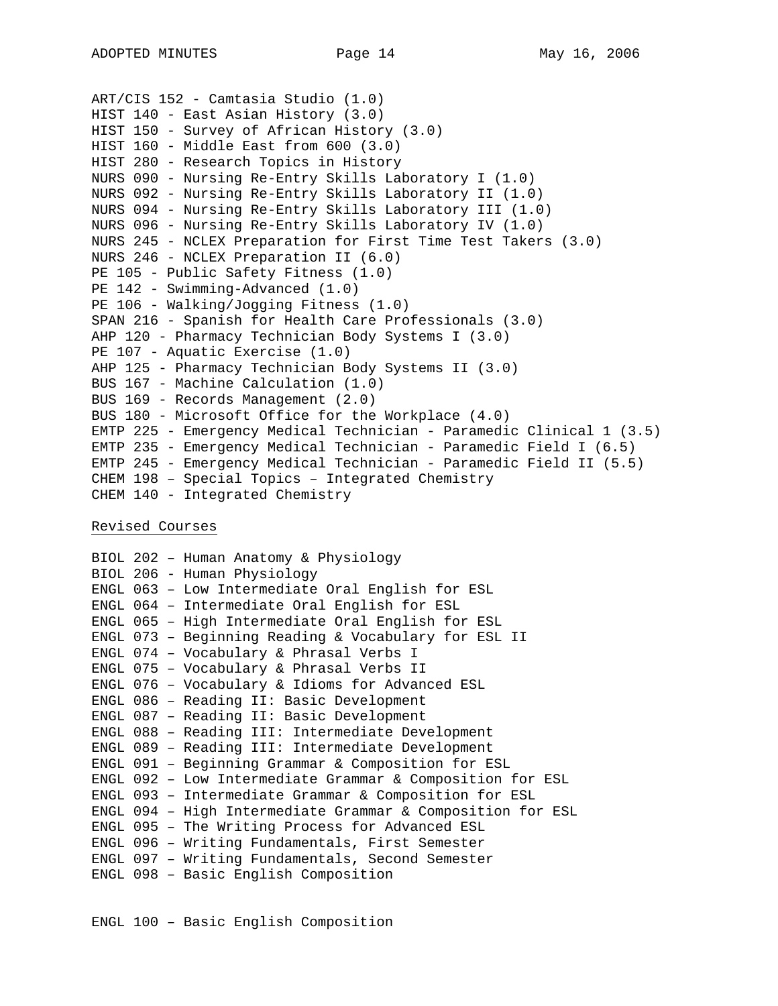```
ART/CIS 152 - Camtasia Studio (1.0) 
HIST 140 - East Asian History (3.0) 
HIST 150 - Survey of African History (3.0) 
HIST 160 - Middle East from 600 (3.0) 
HIST 280 - Research Topics in History 
NURS 090 - Nursing Re-Entry Skills Laboratory I (1.0) 
NURS 092 - Nursing Re-Entry Skills Laboratory II (1.0) 
NURS 094 - Nursing Re-Entry Skills Laboratory III (1.0) 
NURS 096 - Nursing Re-Entry Skills Laboratory IV (1.0) 
NURS 245 - NCLEX Preparation for First Time Test Takers (3.0) 
NURS 246 - NCLEX Preparation II (6.0) 
PE 105 - Public Safety Fitness (1.0) 
PE 142 - Swimming-Advanced (1.0) 
PE 106 - Walking/Jogging Fitness (1.0) 
SPAN 216 - Spanish for Health Care Professionals (3.0) 
AHP 120 - Pharmacy Technician Body Systems I (3.0) 
PE 107 - Aquatic Exercise (1.0)
AHP 125 - Pharmacy Technician Body Systems II (3.0) 
BUS 167 - Machine Calculation (1.0) 
BUS 169 - Records Management (2.0) 
BUS 180 - Microsoft Office for the Workplace (4.0) 
EMTP 225 - Emergency Medical Technician - Paramedic Clinical 1 (3.5) 
EMTP 235 - Emergency Medical Technician - Paramedic Field I (6.5) 
EMTP 245 - Emergency Medical Technician - Paramedic Field II (5.5) 
CHEM 198 – Special Topics – Integrated Chemistry 
CHEM 140 - Integrated Chemistry
```
Revised Courses

BIOL 202 – Human Anatomy & Physiology BIOL 206 - Human Physiology ENGL 063 – Low Intermediate Oral English for ESL ENGL 064 – Intermediate Oral English for ESL ENGL 065 – High Intermediate Oral English for ESL ENGL 073 – Beginning Reading & Vocabulary for ESL II ENGL 074 – Vocabulary & Phrasal Verbs I ENGL 075 – Vocabulary & Phrasal Verbs II ENGL 076 – Vocabulary & Idioms for Advanced ESL ENGL 086 – Reading II: Basic Development ENGL 087 – Reading II: Basic Development ENGL 088 – Reading III: Intermediate Development ENGL 089 – Reading III: Intermediate Development ENGL 091 – Beginning Grammar & Composition for ESL ENGL 092 – Low Intermediate Grammar & Composition for ESL ENGL 093 – Intermediate Grammar & Composition for ESL ENGL 094 – High Intermediate Grammar & Composition for ESL ENGL 095 – The Writing Process for Advanced ESL ENGL 096 – Writing Fundamentals, First Semester ENGL 097 – Writing Fundamentals, Second Semester ENGL 098 – Basic English Composition

ENGL 100 – Basic English Composition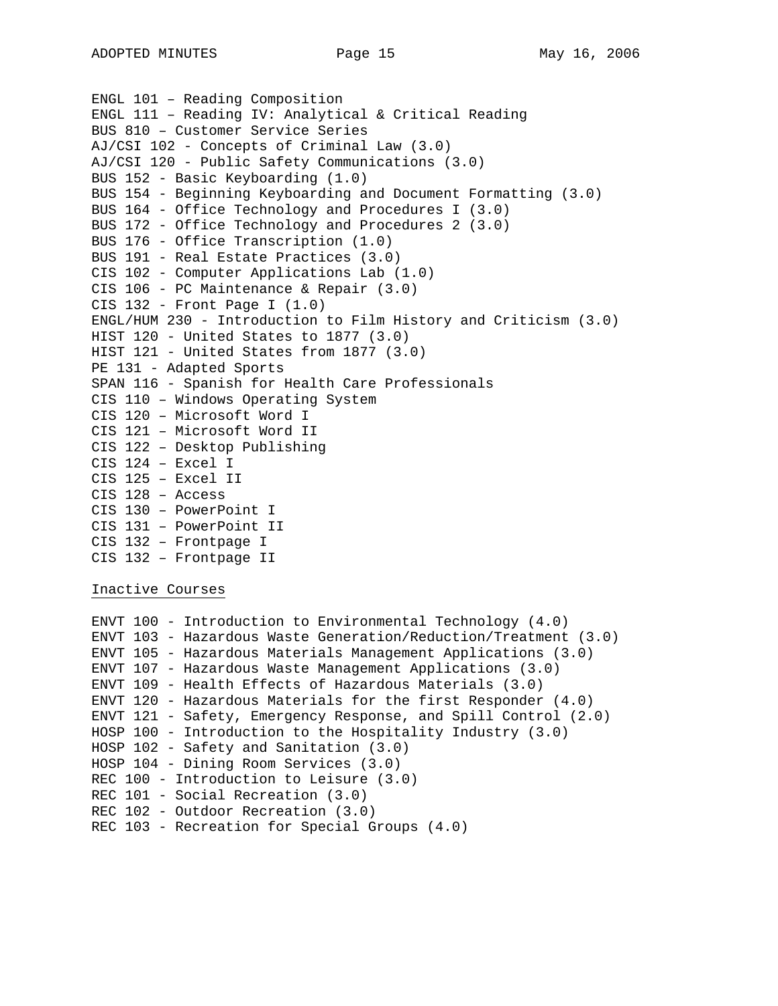```
ENGL 101 – Reading Composition 
ENGL 111 – Reading IV: Analytical & Critical Reading 
BUS 810 – Customer Service Series 
AJ/CSI 102 - Concepts of Criminal Law (3.0) 
AJ/CSI 120 - Public Safety Communications (3.0) 
BUS 152 - Basic Keyboarding (1.0) 
BUS 154 - Beginning Keyboarding and Document Formatting (3.0) 
BUS 164 - Office Technology and Procedures I (3.0) 
BUS 172 - Office Technology and Procedures 2 (3.0) 
BUS 176 - Office Transcription (1.0) 
BUS 191 - Real Estate Practices (3.0) 
CIS 102 - Computer Applications Lab (1.0) 
CIS 106 - PC Maintenance & Repair (3.0) 
CIS 132 - Front Page I (1.0) 
ENGL/HUM 230 - Introduction to Film History and Criticism (3.0) 
HIST 120 - United States to 1877 (3.0) 
HIST 121 - United States from 1877 (3.0) 
PE 131 - Adapted Sports 
SPAN 116 - Spanish for Health Care Professionals 
CIS 110 – Windows Operating System 
CIS 120 – Microsoft Word I 
CIS 121 – Microsoft Word II 
CIS 122 – Desktop Publishing 
CIS 124 – Excel I 
CIS 125 – Excel II 
CIS 128 – Access 
CIS 130 – PowerPoint I 
CIS 131 – PowerPoint II 
CIS 132 – Frontpage I 
CIS 132 – Frontpage II
```
Inactive Courses

ENVT 100 - Introduction to Environmental Technology (4.0) ENVT 103 - Hazardous Waste Generation/Reduction/Treatment (3.0) ENVT 105 - Hazardous Materials Management Applications (3.0) ENVT 107 - Hazardous Waste Management Applications (3.0) ENVT 109 - Health Effects of Hazardous Materials (3.0) ENVT 120 - Hazardous Materials for the first Responder (4.0) ENVT 121 - Safety, Emergency Response, and Spill Control (2.0) HOSP 100 - Introduction to the Hospitality Industry (3.0) HOSP 102 - Safety and Sanitation (3.0) HOSP 104 - Dining Room Services (3.0) REC 100 - Introduction to Leisure (3.0) REC 101 - Social Recreation (3.0) REC 102 - Outdoor Recreation (3.0) REC 103 - Recreation for Special Groups (4.0)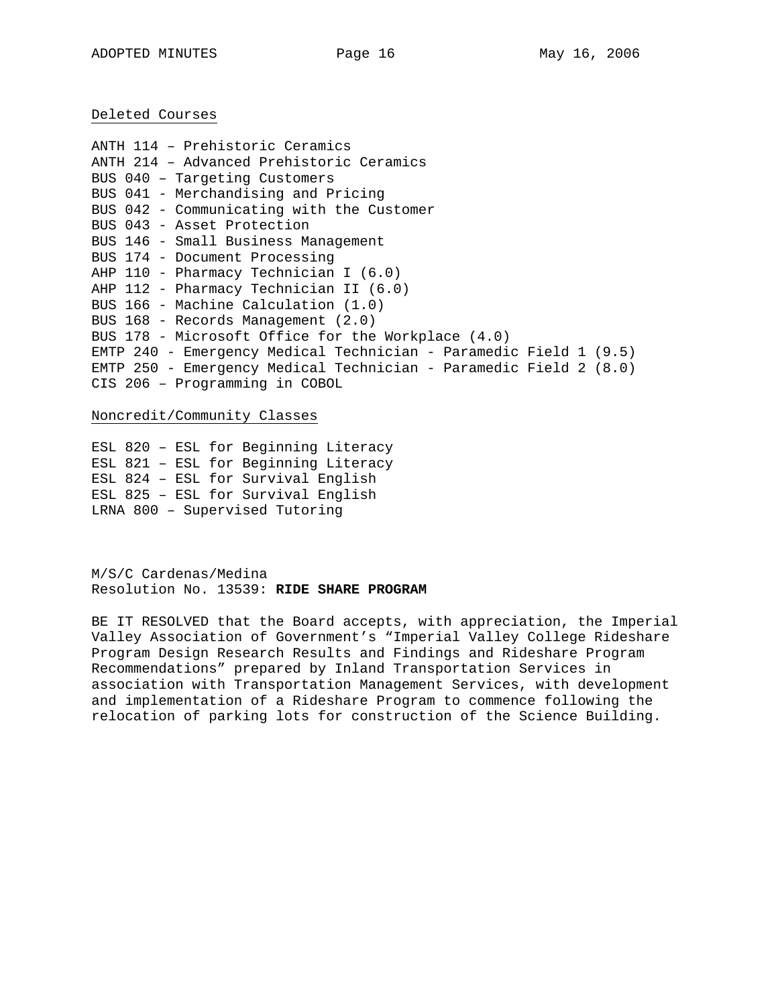Deleted Courses

ANTH 114 – Prehistoric Ceramics ANTH 214 – Advanced Prehistoric Ceramics BUS 040 – Targeting Customers BUS 041 - Merchandising and Pricing BUS 042 - Communicating with the Customer BUS 043 - Asset Protection BUS 146 - Small Business Management BUS 174 - Document Processing AHP 110 - Pharmacy Technician I (6.0) AHP 112 - Pharmacy Technician II (6.0) BUS 166 - Machine Calculation (1.0) BUS 168 - Records Management (2.0) BUS 178 - Microsoft Office for the Workplace (4.0) EMTP 240 - Emergency Medical Technician - Paramedic Field 1 (9.5) EMTP 250 - Emergency Medical Technician - Paramedic Field 2 (8.0) CIS 206 – Programming in COBOL

Noncredit/Community Classes

ESL 820 – ESL for Beginning Literacy ESL 821 – ESL for Beginning Literacy ESL 824 – ESL for Survival English ESL 825 – ESL for Survival English LRNA 800 – Supervised Tutoring

M/S/C Cardenas/Medina Resolution No. 13539: **RIDE SHARE PROGRAM** 

BE IT RESOLVED that the Board accepts, with appreciation, the Imperial Valley Association of Government's "Imperial Valley College Rideshare Program Design Research Results and Findings and Rideshare Program Recommendations" prepared by Inland Transportation Services in association with Transportation Management Services, with development and implementation of a Rideshare Program to commence following the relocation of parking lots for construction of the Science Building.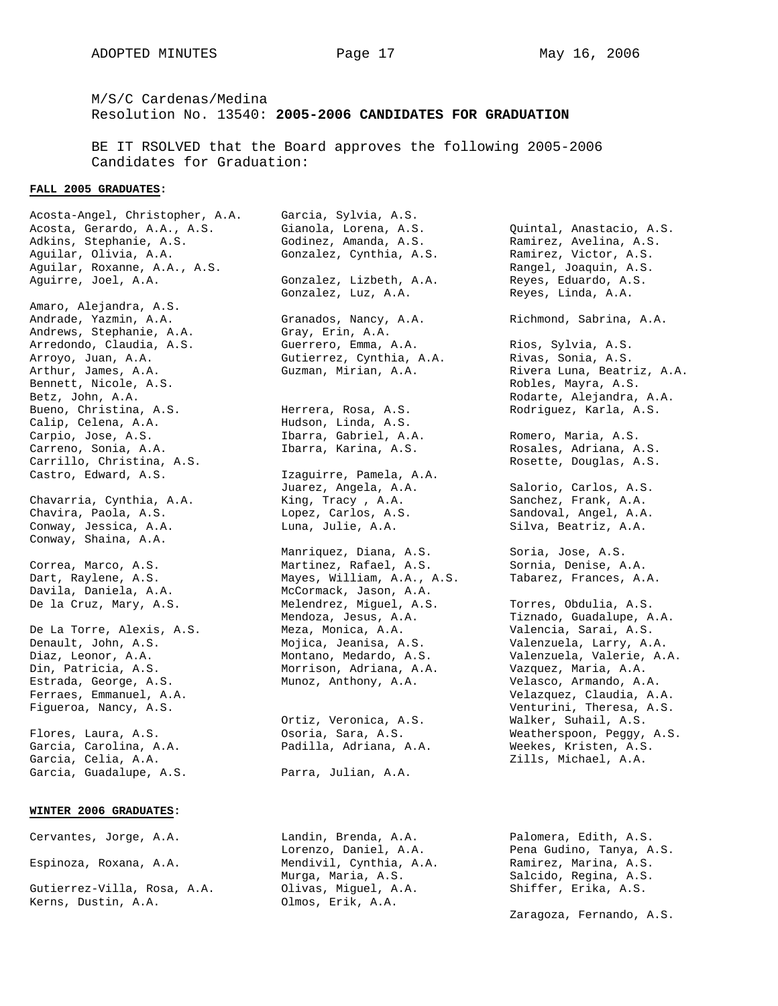M/S/C Cardenas/Medina Resolution No. 13540: **2005-2006 CANDIDATES FOR GRADUATION**

BE IT RSOLVED that the Board approves the following 2005-2006 Candidates for Graduation:

### **FALL 2005 GRADUATES:**

Acosta-Angel, Christopher, A.A. Garcia, Sylvia, A.S. Acosta, Gerardo, A.A., A.S. Gianola, Lorena, A.S. Quintal, Anastacio, A.S. Adkins, Stephanie, A.S. Godinez, Amanda, A.S. Ramirez, Avelina, A.S. Aguilar, Olivia, A.A. Gonzalez, Cynthia, A.S. Ramirez, Victor, A.S. Aguilar, Roxanne, A.A., A.S. Rangel, Joaquin, A.S. Aguirre, Joel, A.A. Gonzalez, Lizbeth, A.A. Reyes, Eduardo, A.S. Gonzalez, Luz, A.A. Reyes, Linda, A.A. Amaro, Alejandra, A.S. Andrade, Yazmin, A.A. Granados, Nancy, A.A. Richmond, Sabrina, A.A. Andrews, Stephanie, A.A. Gray, Erin, A.A. Arredondo, Claudia, A.S. Guerrero, Emma, A.A. Rios, Sylvia, A.S. Arroyo, Juan, A.A. Gutierrez, Cynthia, A.A. Rivas, Sonia, A.S. Arthur, James, A.A. Guzman, Mirian, A.A. Rivera Luna, Beatriz, A.A. Bennett, Nicole, A.S. Robles, Mayra, A.S. Betz, John, A.A. Rodarte, Alejandra, A.A. Bueno, Christina, A.S. Herrera, Rosa, A.S. Rodriguez, Karla, A.S. Calip, Celena, A.A. Hudson, Linda, A.S. Carpio, Jose, A.S. Ibarra, Gabriel, A.A. Romero, Maria, A.S. Carreno, Sonia, A.A. Ibarra, Karina, A.S. Rosales, Adriana, A.S. Carrillo, Christina, A.S. Rosette, Douglas, A.S. Rosette, Douglas, A.S. Castro, Edward, A.S. Izaguirre, Pamela, A.A. Juarez, Angela, A.A. Salorio, Carlos, A.S. Chavarria, Cynthia, A.A. King, Tracy , A.A. Sanchez, Frank, A.A. Chavira, Paola, A.S. Lopez, Carlos, A.S. Sandoval, Angel, A.A. Conway, Jessica, A.A. Luna, Julie, A.A. Silva, Beatriz, A.A. Conway, Shaina, A.A. Manriquez, Diana, A.S. Soria, Jose, A.S. Correa, Marco, A.S. Martinez, Rafael, A.S. Sornia, Denise, A.A. Dart, Raylene, A.S. Mayes, William, A.A., A.S. Tabarez, Frances, A.A. Davila, Daniela, A.A. McCormack, Jason, A.A. De la Cruz, Mary, A.S. Melendrez, Miguel, A.S. Torres, Obdulia, A.S. Mendoza, Jesus, A.A. Tiznado, Guadalupe, A.A. De La Torre, Alexis, A.S. Meza, Monica, A.A. Valencia, Sarai, A.S. Denault, John, A.S. Mojica, Jeanisa, A.S. Valenzuela, Larry, A.A. Diaz, Leonor, A.A. Montano, Medardo, A.S. Valenzuela, Valerie, A.A. Din, Patricia, A.S. Morrison, Adriana, A.A. Vazquez, Maria, A.A. Estrada, George, A.S. Munoz, Anthony, A.A. Velasco, Armando, A.A. Ferraes, Emmanuel, A.A. Velazquez, Claudia, A.A. Figueroa, Nancy, A.S. Venturini, Theresa, A.S. Ortiz, Veronica, A.S. Walker, Suhail, A.S. Flores, Laura, A.S. Osoria, Sara, A.S. Weatherspoon, Peggy, A.S. Garcia, Carolina, A.A. Padilla, Adriana, A.A. Weekes, Kristen, A.S. Garcia, Celia, A.A. Zills, Michael, A.A. Garcia, Guadalupe, A.S. Parra, Julian, A.A.

### **WINTER 2006 GRADUATES:**

Cervantes, Jorge, A.A. Landin, Brenda, A.A. Palomera, Edith, A.S. Lorenzo, Daniel, A.A. Pena Gudino, Tanya, A.S. Espinoza, Roxana, A.A. Mendivil, Cynthia, A.A. Ramirez, Marina, A.S. Murga, Maria, A.S. Salcido, Regina, A.S. Gutierrez-Villa, Rosa, A.A. Olivas, Miguel, A.A. Shiffer, Erika, A.S. Kerns, Dustin, A.A. Olmos, Erik, A.A.

Zaragoza, Fernando, A.S.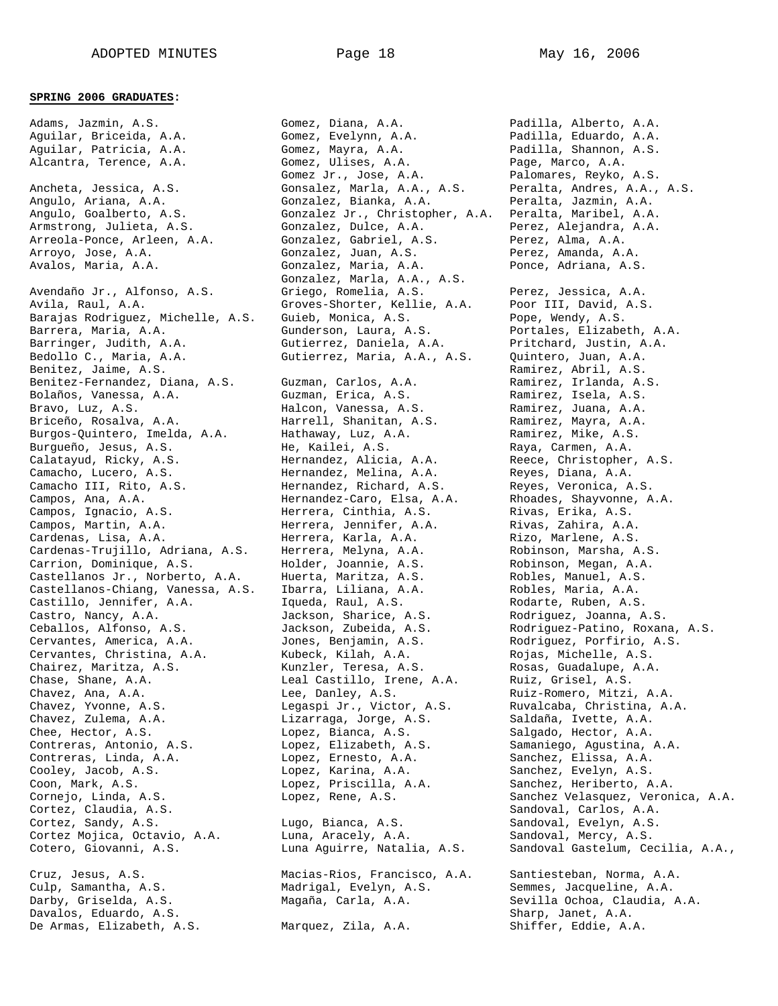### **SPRING 2006 GRADUATES:**

Adams, Jazmin, A.S. Gomez, Diana, A.A. Padilla, Alberto, A.A. Aguilar, Briceida, A.A. Gomez, Evelynn, A.A. Padilla, Eduardo, A.A. Aguilar, Patricia, A.A. Gomez, Mayra, A.A. Padilla, Shannon, A.S. Alcantra, Terence, A.A. Gomez, Ulises, A.A. Page, Marco, A.A. Gomez Jr., Jose, A.A. Palomares, Reyko, A.S. Ancheta, Jessica, A.S. Gonsalez, Marla, A.A., A.S. Peralta, Andres, A.A., A.S. Angulo, Ariana, A.A. Gonzalez, Bianka, A.A. Peralta, Jazmin, A.A. Angulo, Goalberto, A.S. Gonzalez Jr., Christopher, A.A. Peralta, Maribel, A.A. Armstrong, Julieta, A.S. Gonzalez, Dulce, A.A. Perez, Alejandra, A.A. Arreola-Ponce, Arleen, A.A. Gonzalez, Gabriel, A.S. Perez, Alma, A.A. Arroyo, Jose, A.A. Gonzalez, Juan, A.S. Perez, Amanda, A.A. Avalos, Maria, A.A. Gonzalez, Maria, A.A. Ponce, Adriana, A.S. Gonzalez, Marla, A.A., A.S. Avendaño Jr., Alfonso, A.S. Griego, Romelia, A.S. Perez, Jessica, A.A. Avila, Raul, A.A. Groves-Shorter, Kellie, A.A. Poor III, David, A.S. Barajas Rodriguez, Michelle, A.S. Guieb, Monica, A.S. Pope, Wendy, A.S. Barrera, Maria, A.A. Gunderson, Laura, A.S. Portales, Elizabeth, A.A. Barringer, Judith, A.A. Gutierrez, Daniela, A.A. Pritchard, Justin, A.A. Bedollo C., Maria, A.A. Gutierrez, Maria, A.A., A.S. Quintero, Juan, A.A. Benitez, Jaime, A.S. Ramirez, Abril, A.S. Ramirez, Abril, A.S. Benitez-Fernandez, Diana, A.S. Guzman, Carlos, A.A. Ramirez, Irlanda, A.S. Bolaños, Vanessa, A.A. Guzman, Erica, A.S. Ramirez, Isela, A.S. Bravo, Luz, A.S. Halcon, Vanessa, A.S. Ramirez, Juana, A.A. Briceño, Rosalva, A.A. Harrell, Shanitan, A.S. Ramirez, Mayra, A.A. Burgos-Quintero, Imelda, A.A. Hathaway, Luz, A.A. Ramirez, Mike, A.S. Burgueño, Jesus, A.S. He, Kailei, A.S. Raya, Carmen, A.A. Calatayud, Ricky, A.S. Hernandez, Alicia, A.A. Reece, Christopher, A.S. Camacho, Lucero, A.S. Hernandez, Melina, A.A. Reyes, Diana, A.A. Camacho III, Rito, A.S. Hernandez, Richard, A.S. Reyes, Veronica, A.S. Campos, Ana, A.A. Hernandez-Caro, Elsa, A.A. Rhoades, Shayvonne, A.A. Campos, Ignacio, A.S. Herrera, Cinthia, A.S. Rivas, Erika, A.S. Campos, Martin, A.A. Herrera, Jennifer, A.A. Rivas, Zahira, A.A. Cardenas, Lisa, A.A. Herrera, Karla, A.A. Rizo, Marlene, A.S. Cardenas-Trujillo, Adriana, A.S. Herrera, Melyna, A.A. Robinson, Marsha, A.S. Carrion, Dominique, A.S. Holder, Joannie, A.S. Robinson, Megan, A.A. Castellanos Jr., Norberto, A.A. Huerta, Maritza, A.S. Robles, Manuel, A.S. Castellanos-Chiang, Vanessa, A.S. Ibarra, Liliana, A.A. Robles, Maria, A.A. Castillo, Jennifer, A.A. Iqueda, Raul, A.S. Rodarte, Ruben, A.S. Castro, Nancy, A.A. Jackson, Sharice, A.S. Rodriguez, Joanna, A.S. Ceballos, Alfonso, A.S. Jackson, Zubeida, A.S. Rodriguez-Patino, Roxana, A.S. Cervantes, America, A.A. Jones, Benjamin, A.S. Rodriguez, Porfirio, A.S. Cervantes, Christina, A.A. Kubeck, Kilah, A.A. Rojas, Michelle, A.S. Chairez, Maritza, A.S. Kunzler, Teresa, A.S. Rosas, Guadalupe, A.A. Chase, Shane, A.A. Leal Castillo, Irene, A.A. Ruiz, Grisel, A.S. Chavez, Ana, A.A. Lee, Danley, A.S. Ruiz-Romero, Mitzi, A.A. Chavez, Yvonne, A.S. Legaspi Jr., Victor, A.S. Ruvalcaba, Christina, A.A. Chavez, Zulema, A.A. Lizarraga, Jorge, A.S. Saldaña, Ivette, A.A. Chee, Hector, A.S. Lopez, Bianca, A.S. Salgado, Hector, A.A. Contreras, Antonio, A.S. Lopez, Elizabeth, A.S. Samaniego, Agustina, A.A. Contreras, Linda, A.A. Lopez, Ernesto, A.A. Sanchez, Elissa, A.A. Cooley, Jacob, A.S. Lopez, Karina, A.A. Sanchez, Evelyn, A.S. Coon, Mark, A.S. Lopez, Priscilla, A.A. Sanchez, Heriberto, A.A. Cornejo, Linda, A.S. Lopez, Rene, A.S. Sanchez Velasquez, Veronica, A.A. Cortez, Claudia, A.S. Sandoval, Carlos, A.A. Sandoval, Carlos, A.A. Cortez, Sandy, A.S. Lugo, Bianca, A.S. Sandoval, Evelyn, A.S. Cortez Mojica, Octavio, A.A. Luna, Aracely, A.A. Sandoval, Mercy, A.S. Cotero, Giovanni, A.S. Luna Aguirre, Natalia, A.S. Sandoval Gastelum, Cecilia, A.A., Cruz, Jesus, A.S. Macias-Rios, Francisco, A.A. Santiesteban, Norma, A.A. Culp, Samantha, A.S. Madrigal, Evelyn, A.S. Semmes, Jacqueline, A.A. Darby, Griselda, A.S. Magaña, Carla, A.A. Sevilla Ochoa, Claudia, A.A. Cruz, Jesus, A.S. Macias-Rios, Francisco, A.A. Santiesteban, Norma, A.A. Madrigal, Evelyn, A.S. Semmes, Jacqueline, A.A. Darby, Griselda, A.S.

De Armas, Elizabeth, A.S. Marquez, Zila, A.A. Shiffer, Eddie, A.A.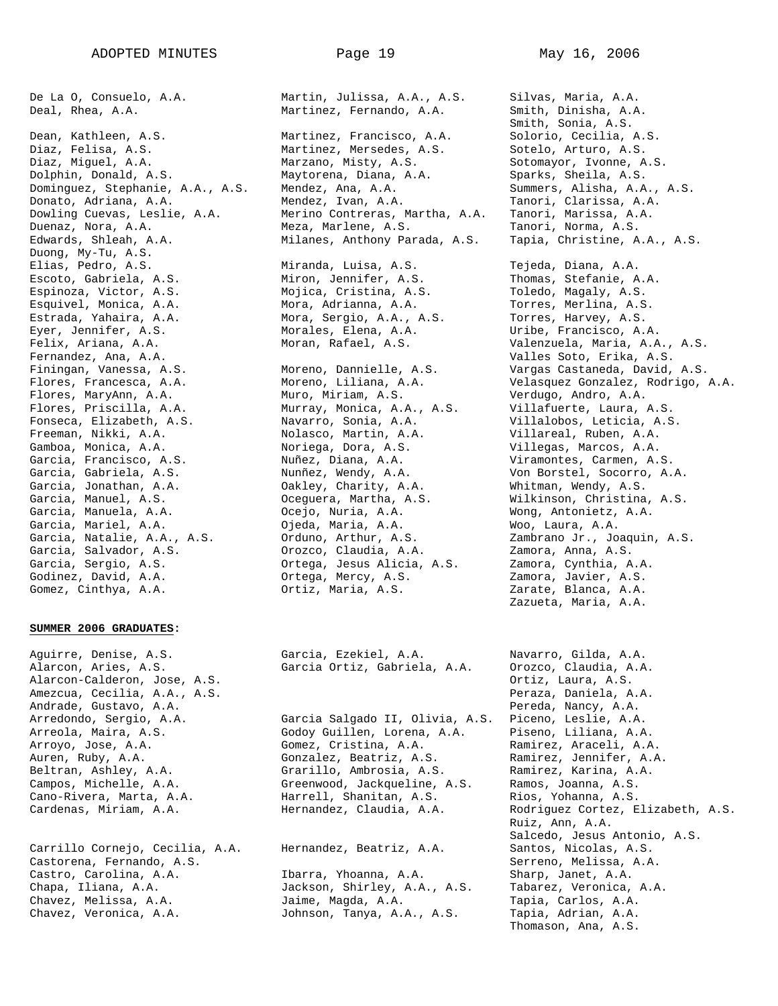Duong, My-Tu, A.S. Escoto, Gabriela, A.S. Miron, Jennifer, A.S. Thomas, Stefanie, A.A. Espinoza, Victor, A.S. Mojica, Cristina, A.S. Toledo, Magaly, A.S. Esquivel, Monica, A.A. Mora, Adrianna, A.A. Torres, Merlina, A.S. Estrada, Yahaira, A.A. Mora, Sergio, A.A., A.S. Torres, Harvey, A.S. Eyer, Jennifer, A.S. Morales, Elena, A.A. Uribe, Francisco, A.A. Fernandez, Ana, A.A. Valles Soto, Erika, A.S. Flores, MaryAnn, A.A. Muro, Miriam, A.S. Verdugo, Andro, A.A. Flores, Priscilla, A.A. Murray, Monica, A.A., A.S. Villafuerte, Laura, A.S. Fonseca, Elizabeth, A.S. Navarro, Sonia, A.A. Villalobos, Leticia, A.S. Freeman, Nikki, A.A. Nolasco, Martin, A.A. Villareal, Ruben, A.A. Gamboa, Monica, A.A. Noriega, Dora, A.S. Villegas, Marcos, A.A. Garcia, Francisco, A.S. Nuñez, Diana, A.A. Viramontes, Carmen, A.S. Garcia, Gabriela, A.S. Nunñez, Wendy, A.A. Von Borstel, Socorro, A.A. Garcia, Jonathan, A.A. Oakley, Charity, A.A. Whitman, Wendy, A.S. Garcia, Manuel, A.S. Oceguera, Martha, A.S. Wilkinson, Christina, A.S. Garcia, Manuela, A.A. Ocejo, Nuria, A.A. Wong, Antonietz, A.A. Garcia, Mariel, A.A. Ojeda, Maria, A.A. Woo, Laura, A.A. Garcia, Natalie, A.A., A.S. Orduno, Arthur, A.S. Zambrano Jr., Joaquin, A.S. Garcia, Salvador, A.S. Orozco, Claudia, A.A. Zamora, Anna, A.S. Garcia, Sergio, A.S. Ortega, Jesus Alicia, A.S. Zamora, Cynthia, A.A. Godinez, David, A.A. Ortega, Mercy, A.S. Zamora, Javier, A.S.

### **SUMMER 2006 GRADUATES:**

Alarcon, Aries, A.S. Garcia Ortiz, Gabriela, A.A. Orozco, Claudia, A.A. Alarcon-Calderon, Jose, A.S. Ortiz, Laura, A.S. Amezcua, Cecilia, A.A., A.S. Peraza, Daniela, A.A. Andrade, Gustavo, A.A. Pereda, Nancy, A.A. Arredondo, Sergio, A.A. Garcia Salgado II, Olivia, A.S. Piceno, Leslie, A.A.

Carrillo Cornejo, Cecilia, A.A. Hernandez, Beatriz, A.A. Santos, Nicolas, A.S. Castorena, Fernando, A.S. Serreno, Melissa, A.A. Castro, Carolina, A.A. Ibarra, Yhoanna, A.A. Sharp, Janet, A.A. Chapa, Iliana, A.A. Jackson, Shirley, A.A., A.S. Tabarez, Veronica, A.A. Chavez, Melissa, A.A. Jaime, Magda, A.A. Tapia, Carlos, A.A. Chavez, Veronica, A.A. Johnson, Tanya, A.A., A.S. Tapia, Adrian, A.A.

De La O, Consuelo, A.A. Martin, Julissa, A.A., A.S. Silvas, Maria, A.A. Deal, Rhea, A.A. Martinez, Fernando, A.A. Smith, Dinisha, A.A. Smith, Sonia, A.S. Dean, Kathleen, A.S. Martinez, Francisco, A.A. Solorio, Cecilia, A.S. Diaz, Felisa, A.S. Martinez, Mersedes, A.S. Sotelo, Arturo, A.S. Diaz, Miguel, A.A. Marzano, Misty, A.S. Sotomayor, Ivonne, A.S. Dolphin, Donald, A.S. Maytorena, Diana, A.A. Sparks, Sheila, A.S. Dominguez, Stephanie, A.A., A.S. Mendez, Ana, A.A. Summers, Alisha, A.A., A.S. Donato, Adriana, A.A. Mendez, Ivan, A.A. Tanori, Clarissa, A.A. Dowling Cuevas, Leslie, A.A. Merino Contreras, Martha, A.A. Tanori, Marissa, A.A. Duenaz, Nora, A.A. Meza, Marlene, A.S. Tanori, Norma, A.S. Edwards, Shleah, A.A. Milanes, Anthony Parada, A.S. Tapia, Christine, A.A., A.S. Elias, Pedro, A.S. Miranda, Luisa, A.S. Tejeda, Diana, A.A.

Aguirre, Denise, A.S. Garcia, Ezekiel, A.A. Navarro, Gilda, A.A.

Arreola, Maira, A.S. Godoy Guillen, Lorena, A.A. Piseno, Liliana, A.A. Arroyo, Jose, A.A. Gomez, Cristina, A.A. Ramirez, Araceli, A.A. Auren, Ruby, A.A. Gonzalez, Beatriz, A.S. Ramirez, Jennifer, A.A. Beltran, Ashley, A.A. Grarillo, Ambrosia, A.S. Ramirez, Karina, A.A. Campos, Michelle, A.A. Greenwood, Jackqueline, A.S. Ramos, Joanna, A.S. Cano-Rivera, Marta, A.A. Harrell, Shanitan, A.S. Rios, Yohanna, A.S.

Felix, Ariana, A.A. Moran, Rafael, A.S. Valenzuela, Maria, A.A., A.S. Finingan, Vanessa, A.S. Moreno, Dannielle, A.S. Vargas Castaneda, David, A.S. Flores, Francesca, A.A. Moreno, Liliana, A.A. Velasquez Gonzalez, Rodrigo, A.A. Gomez, Cinthya, A.A. Ortiz, Maria, A.S. Zarate, Blanca, A.A. Zazueta, Maria, A.A.

Cardenas, Miriam, A.A. Hernandez, Claudia, A.A. Rodriguez Cortez, Elizabeth, A.S. Ruiz, Ann, A.A. Salcedo, Jesus Antonio, A.S. Thomason, Ana, A.S.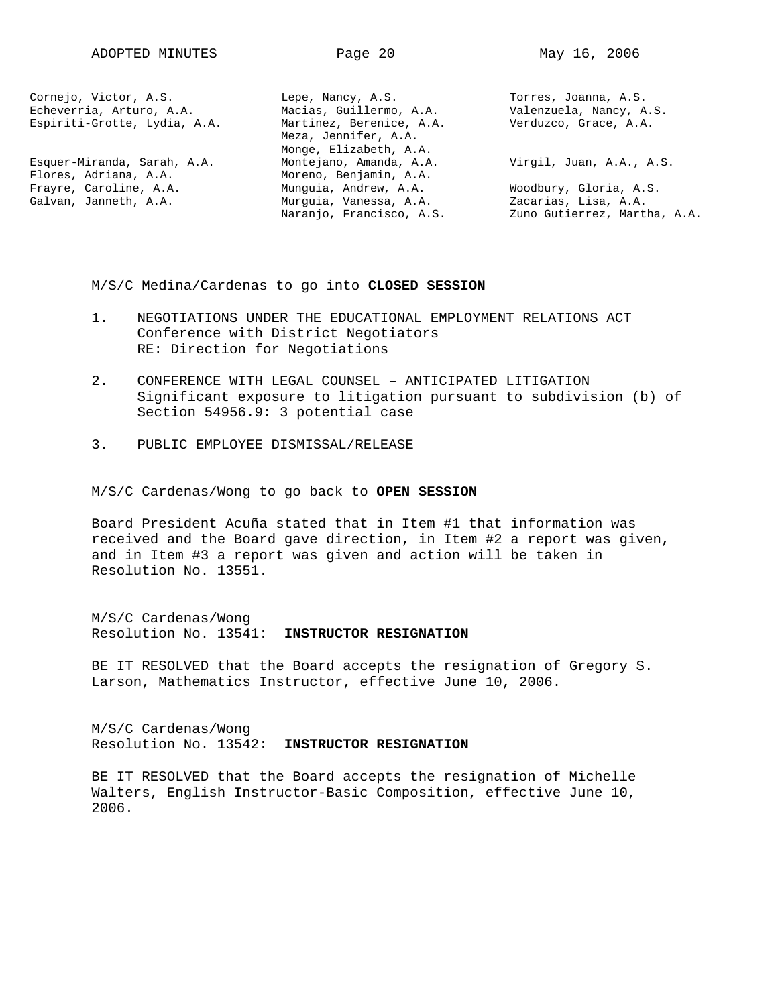| Cornejo, Victor, A.S.        | Lepe, Nancy, A.S.        | Torres, Joanna, A.S.         |
|------------------------------|--------------------------|------------------------------|
| Echeverria, Arturo, A.A.     | Macias, Guillermo, A.A.  | Valenzuela, Nancy, A.S.      |
| Espiriti-Grotte, Lydia, A.A. | Martinez, Berenice, A.A. | Verduzco, Grace, A.A.        |
|                              | Meza, Jennifer, A.A.     |                              |
|                              | Monge, Elizabeth, A.A.   |                              |
| Esquer-Miranda, Sarah, A.A.  | Montejano, Amanda, A.A.  | Virgil, Juan, A.A., A.S.     |
| Flores, Adriana, A.A.        | Moreno, Benjamin, A.A.   |                              |
| Frayre, Caroline, A.A.       | Munquia, Andrew, A.A.    | Woodbury, Gloria, A.S.       |
| Galvan, Janneth, A.A.        | Murquia, Vanessa, A.A.   | Zacarias, Lisa, A.A.         |
|                              | Naranjo, Francisco, A.S. | Zuno Gutierrez, Martha, A.A. |
|                              |                          |                              |

M/S/C Medina/Cardenas to go into **CLOSED SESSION**

- 1. NEGOTIATIONS UNDER THE EDUCATIONAL EMPLOYMENT RELATIONS ACT Conference with District Negotiators RE: Direction for Negotiations
- 2. CONFERENCE WITH LEGAL COUNSEL ANTICIPATED LITIGATION Significant exposure to litigation pursuant to subdivision (b) of Section 54956.9: 3 potential case
- 3. PUBLIC EMPLOYEE DISMISSAL/RELEASE

M/S/C Cardenas/Wong to go back to **OPEN SESSION**

Board President Acuña stated that in Item #1 that information was received and the Board gave direction, in Item #2 a report was given, and in Item #3 a report was given and action will be taken in Resolution No. 13551.

M/S/C Cardenas/Wong Resolution No. 13541: **INSTRUCTOR RESIGNATION**

BE IT RESOLVED that the Board accepts the resignation of Gregory S. Larson, Mathematics Instructor, effective June 10, 2006.

M/S/C Cardenas/Wong Resolution No. 13542: **INSTRUCTOR RESIGNATION**

BE IT RESOLVED that the Board accepts the resignation of Michelle Walters, English Instructor-Basic Composition, effective June 10, 2006.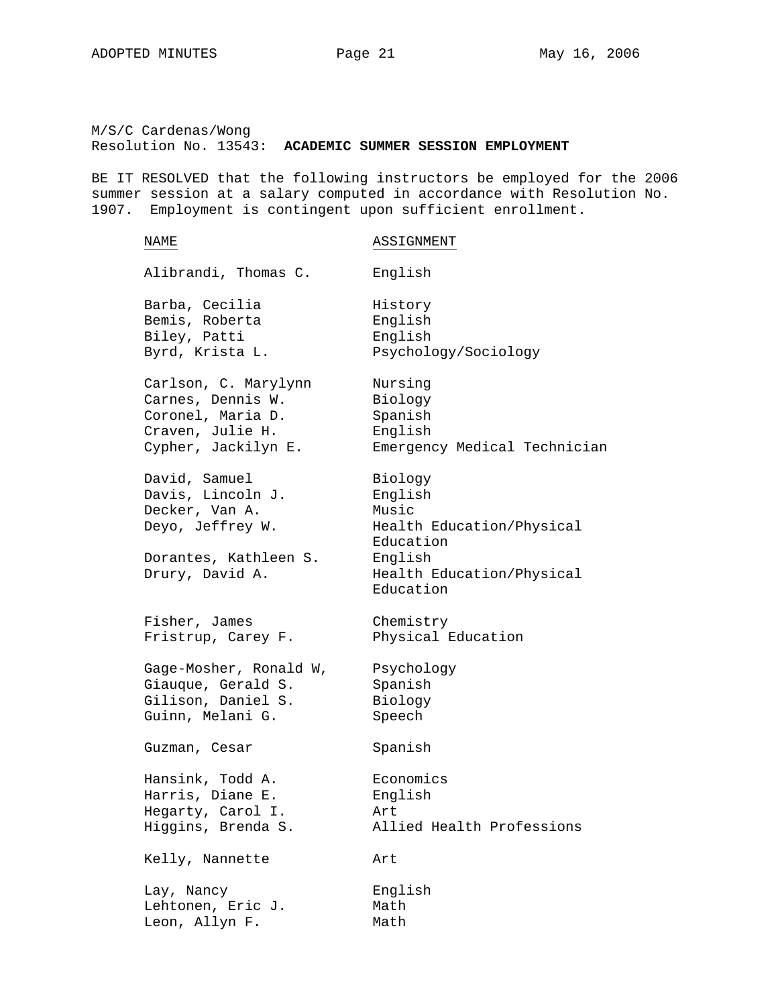M/S/C Cardenas/Wong Resolution No. 13543: **ACADEMIC SUMMER SESSION EMPLOYMENT**

BE IT RESOLVED that the following instructors be employed for the 2006 summer session at a salary computed in accordance with Resolution No. 1907. Employment is contingent upon sufficient enrollment.

## NAME ASSIGNMENT Alibrandi, Thomas C. English Barba, Cecilia **History** Bemis, Roberta English Biley, Patti English Byrd, Krista L. Psychology/Sociology Carlson, C. Marylynn Nursing Carnes, Dennis W. Biology Coronel, Maria D. Spanish Craven, Julie H. English Cypher, Jackilyn E. Emergency Medical Technician David, Samuel Biology Davis, Lincoln J. English Decker, Van A. Music Deyo, Jeffrey W. Health Education/Physical Education Dorantes, Kathleen S. English Drury, David A. **Health Education/Physical** Education Fisher, James Chemistry Fristrup, Carey F. Physical Education Gage-Mosher, Ronald W, Psychology Giauque, Gerald S. Spanish Gilison, Daniel S. Biology Guinn, Melani G. Speech Guzman, Cesar Spanish Hansink, Todd A. Economics Harris, Diane E. Biglish Hegarty, Carol I. Art Higgins, Brenda S. Allied Health Professions Kelly, Nannette Art Lay, Nancy English Lehtonen, Eric J. Math Leon, Allyn F. Math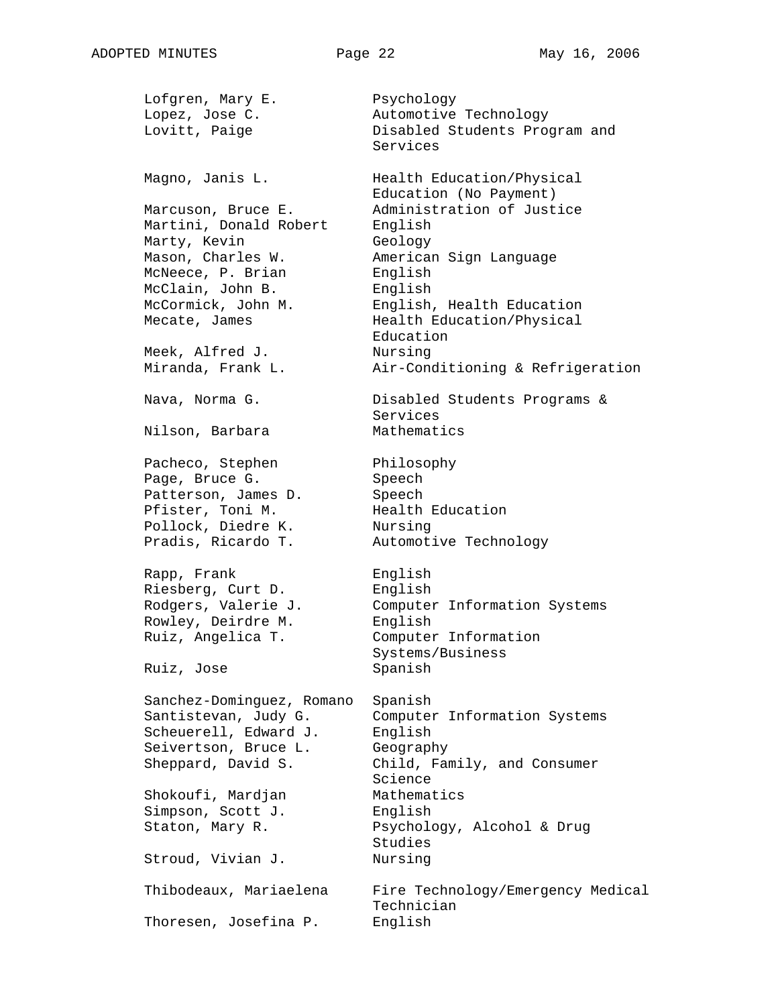Lofgren, Mary E. Psychology Lopez, Jose C. Automotive Technology Lovitt, Paige Disabled Students Program and Services Magno, Janis L. **Health Education/Physical** Education (No Payment) Marcuson, Bruce E. Administration of Justice Martini, Donald Robert English Marty, Kevin Geology Mason, Charles W. **American Sign Language** McNeece, P. Brian English McClain, John B. English McCormick, John M. English, Health Education Mecate, James Health Education/Physical Education Meek, Alfred J. Nursing Miranda, Frank L. Air-Conditioning & Refrigeration Nava, Norma G. 68 and Disabled Students Programs & Services Nilson, Barbara Mathematics Pacheco, Stephen Philosophy Page, Bruce G. Speech Patterson, James D. Speech Pfister, Toni M. Health Education Pollock, Diedre K. Nursing Pradis, Ricardo T. Automotive Technology Rapp, Frank English Riesberg, Curt D. English Rodgers, Valerie J. Computer Information Systems Rowley, Deirdre M. English Ruiz, Angelica T. Computer Information Systems/Business Ruiz, Jose Spanish Sanchez-Dominguez, Romano Spanish Santistevan, Judy G. Computer Information Systems Scheuerell, Edward J. English Seivertson, Bruce L. Geography Sheppard, David S. Child, Family, and Consumer Science Shokoufi, Mardjan Mathematics Simpson, Scott J. English Staton, Mary R. Psychology, Alcohol & Drug Studies Stroud, Vivian J. Nursing Thibodeaux, Mariaelena Fire Technology/Emergency Medical Technician Thoresen, Josefina P. English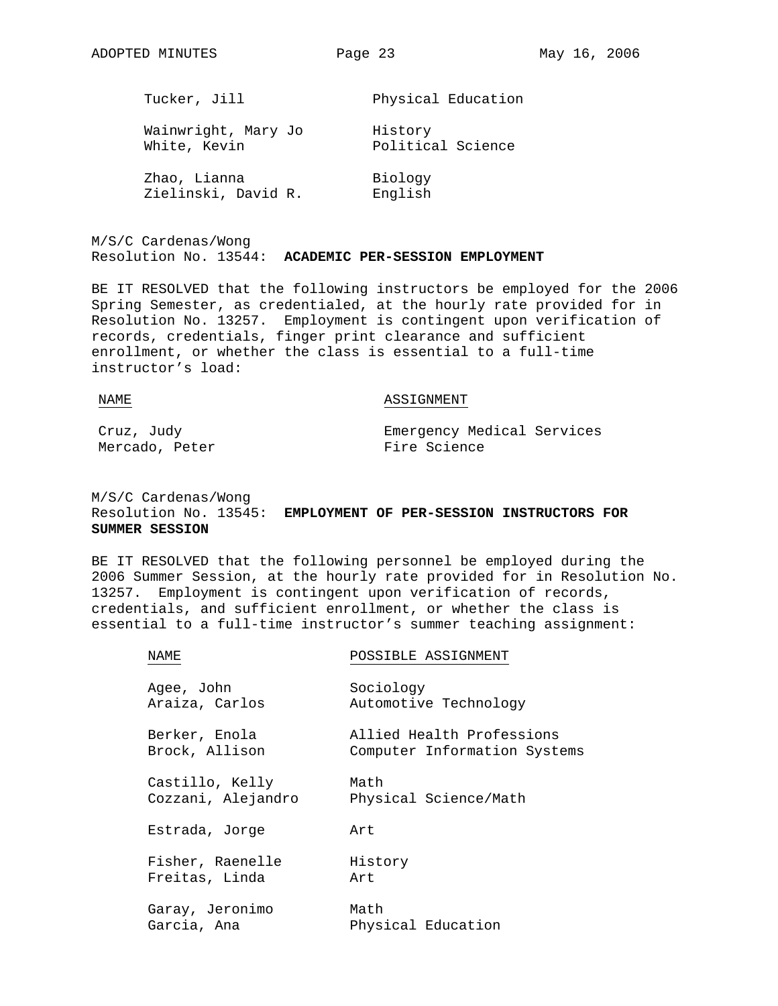| Tucker, Jill        | Physical Education |
|---------------------|--------------------|
| Wainwright, Mary Jo | History            |
| White, Kevin        | Political Science  |
| Zhao, Lianna        | Biology            |
| Zielinski, David R. | English            |

M/S/C Cardenas/Wong Resolution No. 13544: **ACADEMIC PER-SESSION EMPLOYMENT**

BE IT RESOLVED that the following instructors be employed for the 2006 Spring Semester, as credentialed, at the hourly rate provided for in Resolution No. 13257. Employment is contingent upon verification of records, credentials, finger print clearance and sufficient enrollment, or whether the class is essential to a full-time instructor's load:

NAME NAME ASSIGNMENT Cruz, Judy Emergency Medical Services

Mercado, Peter **Fire Science** 

M/S/C Cardenas/Wong Resolution No. 13545: **EMPLOYMENT OF PER-SESSION INSTRUCTORS FOR SUMMER SESSION**

BE IT RESOLVED that the following personnel be employed during the 2006 Summer Session, at the hourly rate provided for in Resolution No. 13257. Employment is contingent upon verification of records, credentials, and sufficient enrollment, or whether the class is essential to a full-time instructor's summer teaching assignment:

| NAME               | POSSIBLE ASSIGNMENT          |
|--------------------|------------------------------|
| Agee, John         | Sociology                    |
| Araiza, Carlos     | Automotive Technology        |
| Berker, Enola      | Allied Health Professions    |
| Brock, Allison     | Computer Information Systems |
| Castillo, Kelly    | Math                         |
| Cozzani, Alejandro | Physical Science/Math        |
| Estrada, Jorge     | Art                          |
| Fisher, Raenelle   | History                      |
| Freitas, Linda     | Art                          |
| Garay, Jeronimo    | Math                         |
| Garcia, Ana        | Physical Education           |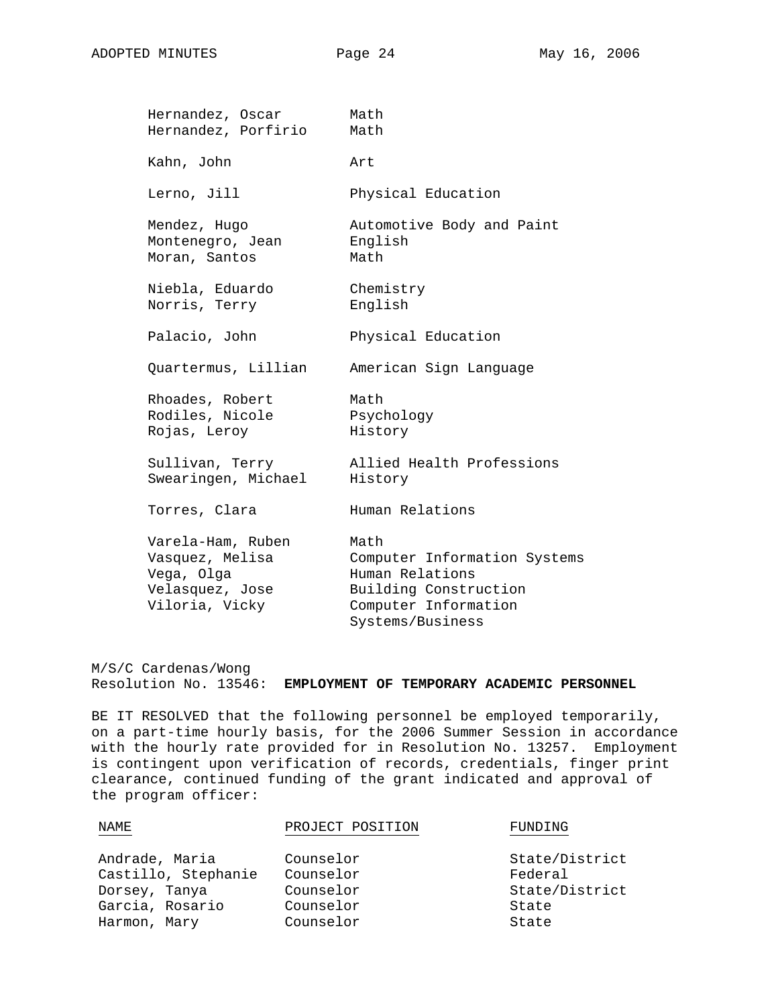| Hernandez, Oscar                                                                        | Math                                                                                                     |
|-----------------------------------------------------------------------------------------|----------------------------------------------------------------------------------------------------------|
| Hernandez, Porfirio                                                                     | Math                                                                                                     |
| Kahn, John                                                                              | Art                                                                                                      |
| Lerno, Jill                                                                             | Physical Education                                                                                       |
| Mendez, Hugo<br>Montenegro, Jean<br>Moran, Santos                                       | Automotive Body and Paint<br>English<br>Math                                                             |
| Niebla, Eduardo<br>Norris, Terry                                                        | Chemistry<br>English                                                                                     |
| Palacio, John                                                                           | Physical Education                                                                                       |
| Quartermus, Lillian                                                                     | American Sign Language                                                                                   |
| Rhoades, Robert<br>Rodiles, Nicole<br>Rojas, Leroy                                      | Math<br>Psychology<br>History                                                                            |
| Sullivan, Terry<br>Swearingen, Michael                                                  | Allied Health Professions<br>History                                                                     |
| Torres, Clara                                                                           | Human Relations                                                                                          |
| Varela-Ham, Ruben<br>Vasquez, Melisa<br>Vega, Olga<br>Velasquez, Jose<br>Viloria, Vicky | Math<br>Computer Information Systems<br>Human Relations<br>Building Construction<br>Computer Information |
|                                                                                         | Systems/Business                                                                                         |

M/S/C Cardenas/Wong Resolution No. 13546: **EMPLOYMENT OF TEMPORARY ACADEMIC PERSONNEL**

BE IT RESOLVED that the following personnel be employed temporarily, on a part-time hourly basis, for the 2006 Summer Session in accordance with the hourly rate provided for in Resolution No. 13257. Employment is contingent upon verification of records, credentials, finger print clearance, continued funding of the grant indicated and approval of the program officer:

| <b>NAME</b>         | PROJECT POSITION | FUNDING        |
|---------------------|------------------|----------------|
| Andrade, Maria      | Counselor        | State/District |
| Castillo, Stephanie | Counselor        | Federal        |
| Dorsey, Tanya       | Counselor        | State/District |
| Garcia, Rosario     | Counselor        | State          |
| Harmon, Mary        | Counselor        | State          |
|                     |                  |                |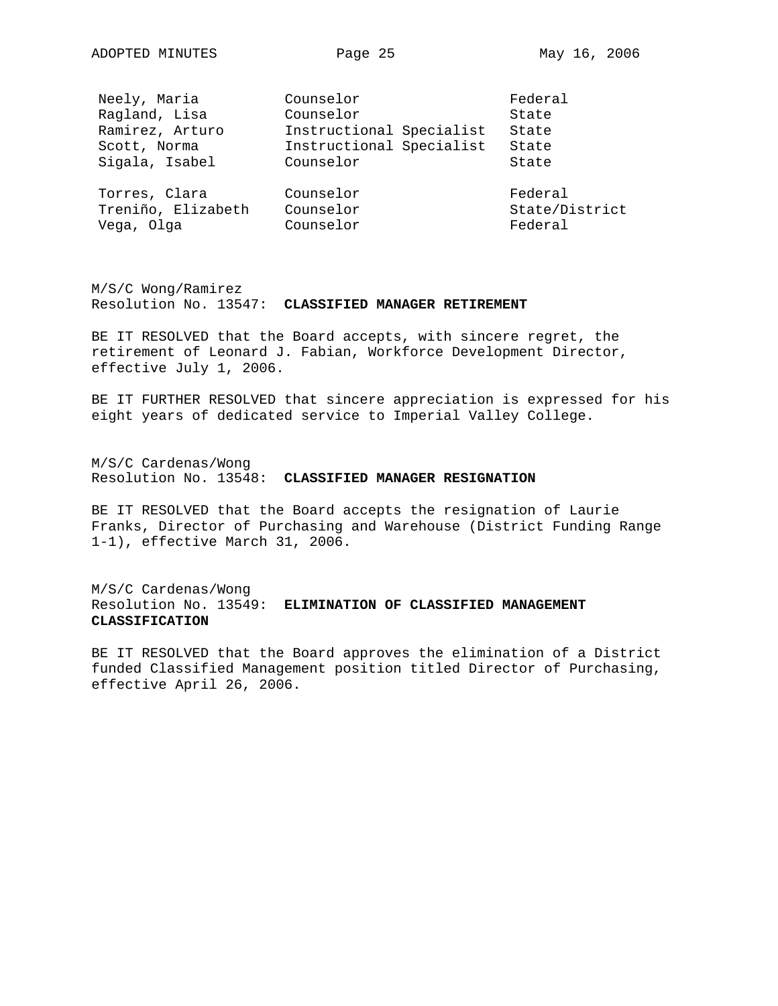| Neely, Maria       | Counselor                | Federal        |
|--------------------|--------------------------|----------------|
| Ragland, Lisa      | Counselor                | State          |
| Ramirez, Arturo    | Instructional Specialist | State          |
| Scott, Norma       | Instructional Specialist | State          |
| Sigala, Isabel     | Counselor                | State          |
| Torres, Clara      | Counselor                | Federal        |
| Treniño, Elizabeth | Counselor                | State/District |
| Vega, Olga         | Counselor                | Federal        |

M/S/C Wong/Ramirez Resolution No. 13547: **CLASSIFIED MANAGER RETIREMENT**

BE IT RESOLVED that the Board accepts, with sincere regret, the retirement of Leonard J. Fabian, Workforce Development Director, effective July 1, 2006.

BE IT FURTHER RESOLVED that sincere appreciation is expressed for his eight years of dedicated service to Imperial Valley College.

M/S/C Cardenas/Wong Resolution No. 13548: **CLASSIFIED MANAGER RESIGNATION**

BE IT RESOLVED that the Board accepts the resignation of Laurie Franks, Director of Purchasing and Warehouse (District Funding Range 1-1), effective March 31, 2006.

M/S/C Cardenas/Wong Resolution No. 13549: **ELIMINATION OF CLASSIFIED MANAGEMENT CLASSIFICATION**

BE IT RESOLVED that the Board approves the elimination of a District funded Classified Management position titled Director of Purchasing, effective April 26, 2006.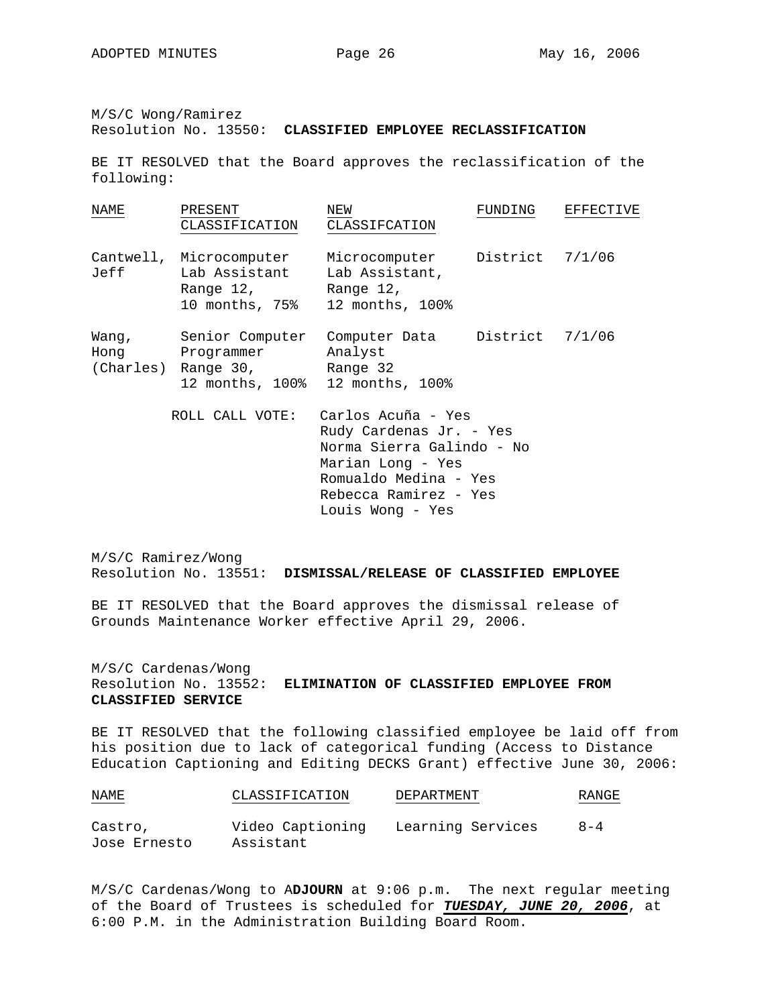M/S/C Wong/Ramirez

Resolution No. 13550: **CLASSIFIED EMPLOYEE RECLASSIFICATION**

BE IT RESOLVED that the Board approves the reclassification of the following:

| NAME                       | PRESENT<br>CLASSIFICATION                                     | NEW<br>CLASSIFCATION                                                            | FUNDING         | <b>EFFECTIVE</b> |
|----------------------------|---------------------------------------------------------------|---------------------------------------------------------------------------------|-----------------|------------------|
| Cantwell,<br>Jeff          | Microcomputer<br>Lab Assistant<br>Range 12,<br>10 months, 75% | Microcomputer District 7/1/06<br>Lab Assistant,<br>Range 12,<br>12 months, 100% |                 |                  |
| Wang,<br>Hong<br>(Charles) | Senior Computer<br>Programmer<br>Range 30,<br>12 months, 100% | Computer Data<br>Analyst<br>Range 32<br>12 months, 100%                         | District 7/1/06 |                  |
|                            | ROLL CALL VOTE:                                               | Carlos Acuña - Yes<br>Rudy Cardenas Jr. - Yes                                   |                 |                  |

 Norma Sierra Galindo - No Marian Long - Yes Romualdo Medina - Yes Rebecca Ramirez - Yes Louis Wong - Yes

M/S/C Ramirez/Wong Resolution No. 13551: **DISMISSAL/RELEASE OF CLASSIFIED EMPLOYEE**

BE IT RESOLVED that the Board approves the dismissal release of Grounds Maintenance Worker effective April 29, 2006.

M/S/C Cardenas/Wong Resolution No. 13552: **ELIMINATION OF CLASSIFIED EMPLOYEE FROM CLASSIFIED SERVICE**

BE IT RESOLVED that the following classified employee be laid off from his position due to lack of categorical funding (Access to Distance Education Captioning and Editing DECKS Grant) effective June 30, 2006:

| NAME         | CLASSIFICATION   | DEPARTMENT        | RANGE   |
|--------------|------------------|-------------------|---------|
| Castro,      | Video Captioning | Learning Services | $8 - 4$ |
| Jose Ernesto | Assistant        |                   |         |

M/S/C Cardenas/Wong to A**DJOURN** at 9:06 p.m. The next regular meeting of the Board of Trustees is scheduled for *TUESDAY, JUNE 20, 2006*, at 6:00 P.M. in the Administration Building Board Room.